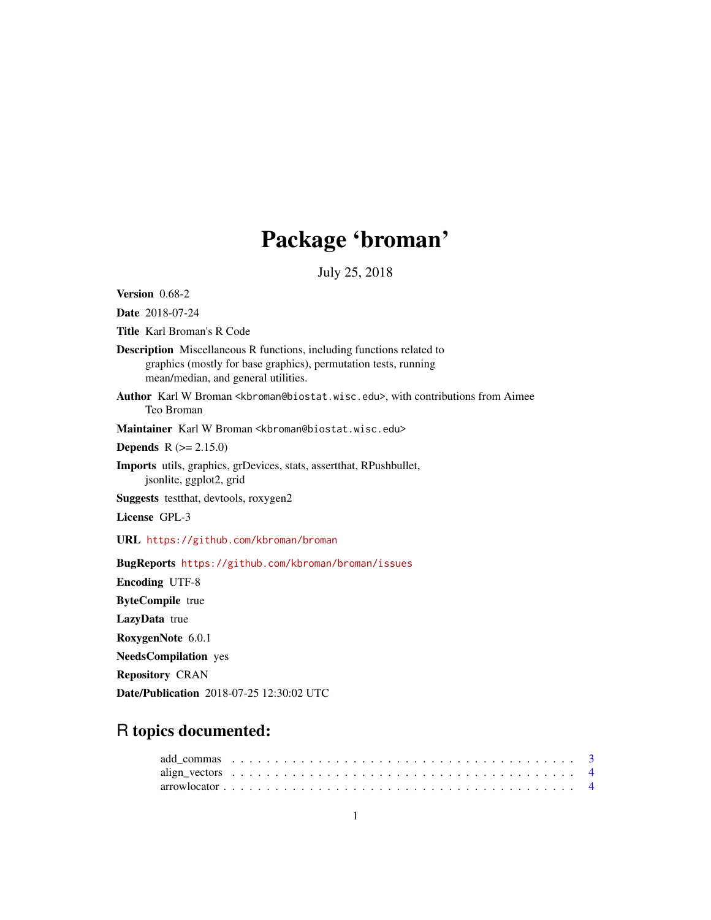# Package 'broman'

July 25, 2018

<span id="page-0-0"></span>Version 0.68-2

Date 2018-07-24

Title Karl Broman's R Code

- Description Miscellaneous R functions, including functions related to graphics (mostly for base graphics), permutation tests, running mean/median, and general utilities.
- Author Karl W Broman <kbroman@biostat.wisc.edu>, with contributions from Aimee Teo Broman

Maintainer Karl W Broman <kbroman@biostat.wisc.edu>

**Depends**  $R (= 2.15.0)$ 

Imports utils, graphics, grDevices, stats, assertthat, RPushbullet, jsonlite, ggplot2, grid

Suggests testthat, devtools, roxygen2

License GPL-3

URL <https://github.com/kbroman/broman>

BugReports <https://github.com/kbroman/broman/issues> Encoding UTF-8 ByteCompile true LazyData true RoxygenNote 6.0.1 NeedsCompilation yes Repository CRAN Date/Publication 2018-07-25 12:30:02 UTC

# R topics documented: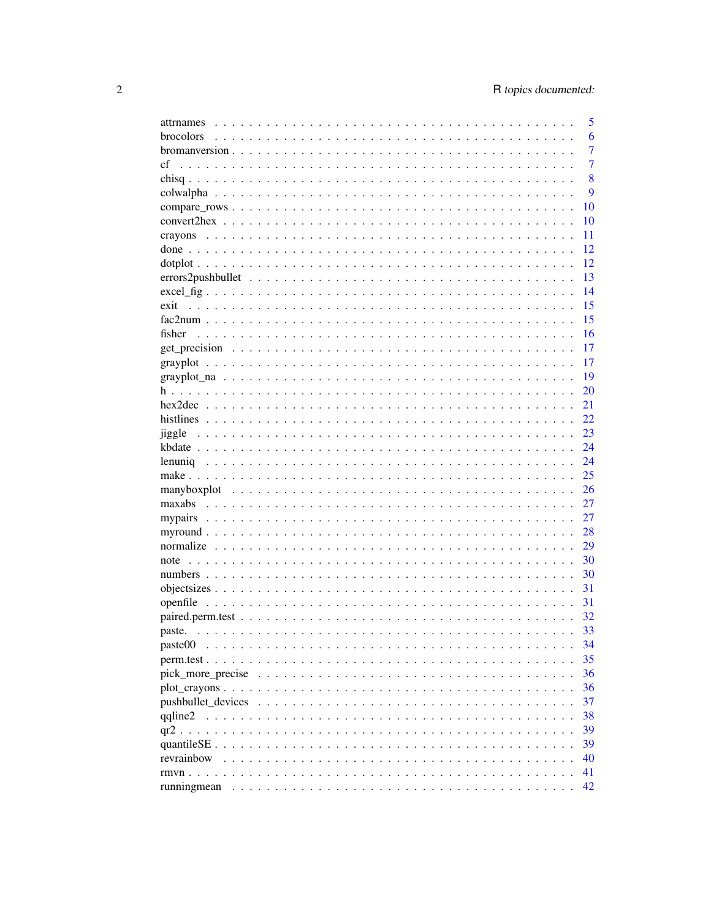| attrnames          | 5  |
|--------------------|----|
| brocolors          | 6  |
|                    | 7  |
| cf                 | 7  |
|                    | 8  |
|                    | 9  |
|                    | 10 |
|                    | 10 |
|                    | 11 |
|                    | 12 |
|                    | 12 |
|                    | 13 |
| $excel\_fig$       | 14 |
| exit               | 15 |
|                    | 15 |
| fisher             | 16 |
|                    | 17 |
|                    | 17 |
|                    | 19 |
|                    | 20 |
|                    | 21 |
|                    | 22 |
| jiggle             | 23 |
|                    | 24 |
|                    | 24 |
|                    | 25 |
|                    | 26 |
|                    | 27 |
|                    | 27 |
|                    | 28 |
|                    | 29 |
|                    | 30 |
|                    | 30 |
|                    | 31 |
|                    | 31 |
|                    | 32 |
|                    | 33 |
| paste00            | 34 |
|                    | 35 |
|                    | 36 |
|                    | 36 |
| pushbullet_devices | 37 |
| qqline2            | 38 |
|                    | 39 |
| quantileSE         | 39 |
| revrainbow         | 40 |
|                    | 41 |
| runningmean        | 42 |
|                    |    |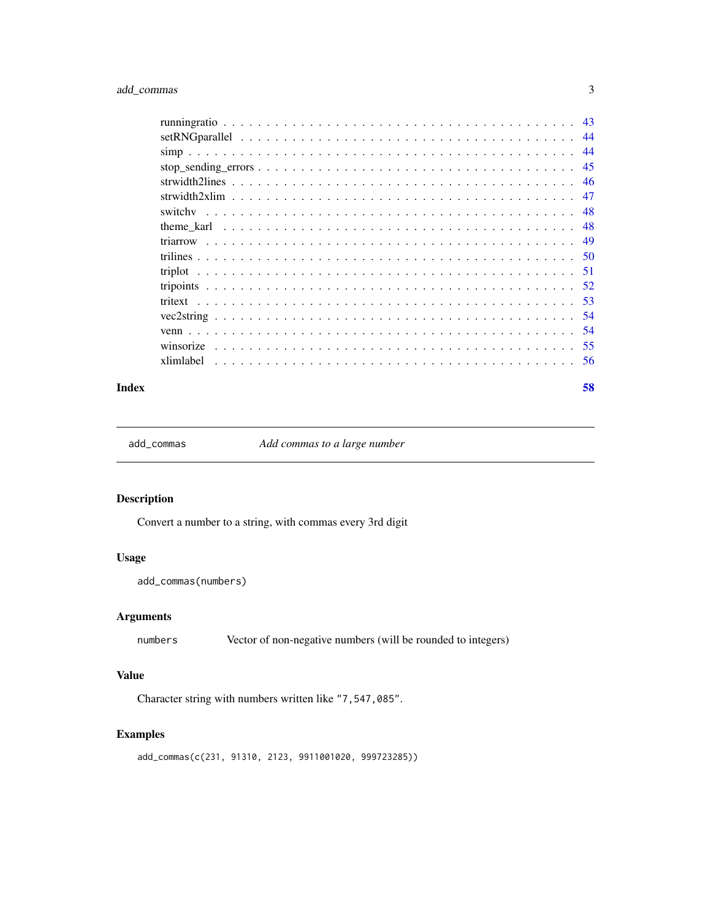<span id="page-2-0"></span>

| -45 |
|-----|
|     |
| -47 |
|     |
| -48 |
| 49  |
|     |
|     |
|     |
|     |
|     |
| .54 |
|     |
|     |

#### **Index [58](#page-57-0) Second Line Control of the Control of the Control of the Control of the Control of the Control of the Control of the Control of the Control of the Control of the Control of the Control of the Control of the Contr**

add\_commas *Add commas to a large number*

# Description

Convert a number to a string, with commas every 3rd digit

# Usage

add\_commas(numbers)

# Arguments

numbers Vector of non-negative numbers (will be rounded to integers)

# Value

Character string with numbers written like "7,547,085".

# Examples

add\_commas(c(231, 91310, 2123, 9911001020, 999723285))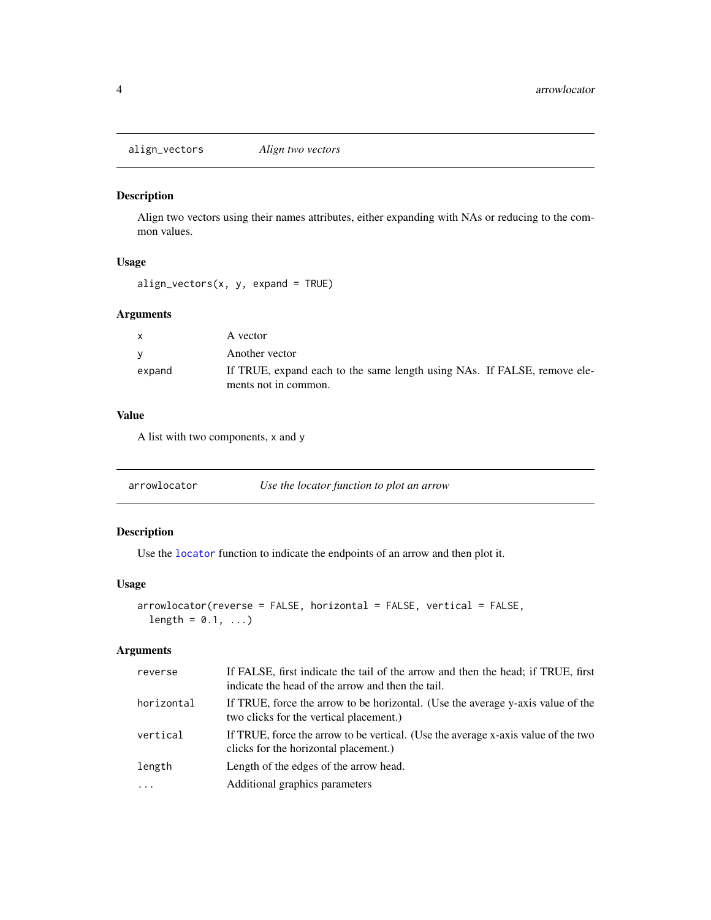<span id="page-3-0"></span>align\_vectors *Align two vectors*

#### Description

Align two vectors using their names attributes, either expanding with NAs or reducing to the common values.

# Usage

 $align\_vectors(x, y, expand = TRUE)$ 

# Arguments

| $\mathbf{x}$ | A vector                                                                 |
|--------------|--------------------------------------------------------------------------|
|              | Another vector                                                           |
| expand       | If TRUE, expand each to the same length using NAs. If FALSE, remove ele- |
|              | ments not in common.                                                     |

# Value

A list with two components, x and y

| arrowlocator | Use the locator function to plot an arrow |  |  |
|--------------|-------------------------------------------|--|--|
|--------------|-------------------------------------------|--|--|

# Description

Use the [locator](#page-0-0) function to indicate the endpoints of an arrow and then plot it.

#### Usage

```
arrowlocator(reverse = FALSE, horizontal = FALSE, vertical = FALSE,
 length = 0.1, ...)
```
# Arguments

| reverse    | If FALSE, first indicate the tail of the arrow and then the head; if TRUE, first<br>indicate the head of the arrow and then the tail. |
|------------|---------------------------------------------------------------------------------------------------------------------------------------|
| horizontal | If TRUE, force the arrow to be horizontal. (Use the average y-axis value of the<br>two clicks for the vertical placement.)            |
| vertical   | If TRUE, force the arrow to be vertical. (Use the average x-axis value of the two<br>clicks for the horizontal placement.)            |
| length     | Length of the edges of the arrow head.                                                                                                |
| $\ddotsc$  | Additional graphics parameters                                                                                                        |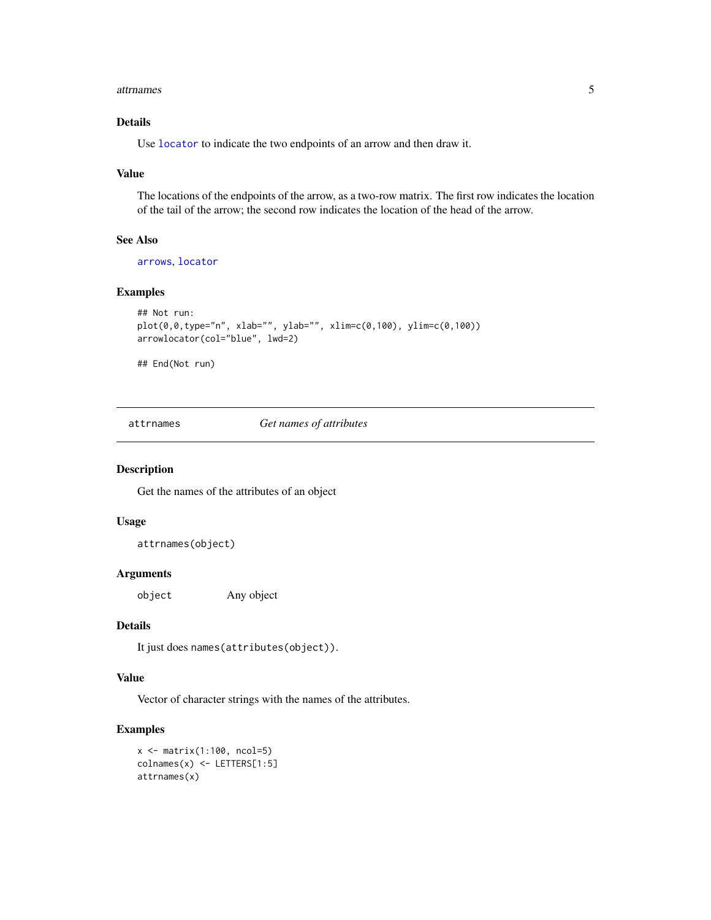#### <span id="page-4-0"></span>attrnames 5

# Details

Use [locator](#page-0-0) to indicate the two endpoints of an arrow and then draw it.

## Value

The locations of the endpoints of the arrow, as a two-row matrix. The first row indicates the location of the tail of the arrow; the second row indicates the location of the head of the arrow.

# See Also

[arrows](#page-0-0), [locator](#page-0-0)

# Examples

```
## Not run:
plot(0,0,type="n", xlab="", ylab="", xlim=c(0,100), ylim=c(0,100))
arrowlocator(col="blue", lwd=2)
```
## End(Not run)

attrnames *Get names of attributes*

#### Description

Get the names of the attributes of an object

## Usage

attrnames(object)

#### Arguments

object Any object

#### Details

It just does names(attributes(object)).

#### Value

Vector of character strings with the names of the attributes.

# Examples

x <- matrix(1:100, ncol=5) colnames(x) <- LETTERS[1:5] attrnames(x)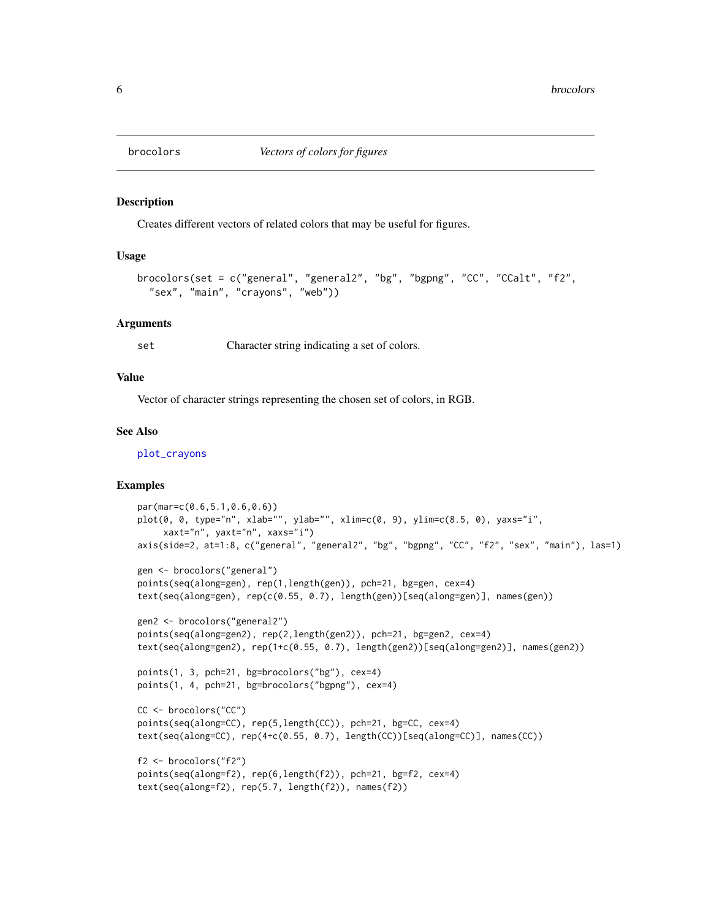<span id="page-5-1"></span><span id="page-5-0"></span>

Creates different vectors of related colors that may be useful for figures.

# Usage

```
brocolors(set = c("general", "general", "bg", "bgng", "CC", "CCalt", "f2","sex", "main", "crayons", "web"))
```
#### Arguments

set Character string indicating a set of colors.

# Value

Vector of character strings representing the chosen set of colors, in RGB.

#### See Also

[plot\\_crayons](#page-35-1)

```
par(mar=c(0.6,5.1,0.6,0.6))
plot(0, 0, type="n", xlab="", ylab="", xlim=c(0, 9), ylim=c(8.5, 0), yaxs="i",
     xaxt="n", yaxt="n", xaxs="i")
axis(side=2, at=1:8, c("general", "general2", "bg", "bgpng", "CC", "f2", "sex", "main"), las=1)
gen <- brocolors("general")
points(seq(along=gen), rep(1,length(gen)), pch=21, bg=gen, cex=4)
text(seq(along=gen), rep(c(0.55, 0.7), length(gen))[seq(along=gen)], names(gen))
gen2 <- brocolors("general2")
points(seq(along=gen2), rep(2,length(gen2)), pch=21, bg=gen2, cex=4)
text(seq(along=gen2), rep(1+c(0.55, 0.7), length(gen2))[seq(along=gen2)], names(gen2))
points(1, 3, pch=21, bg=brocolors("bg"), cex=4)
points(1, 4, pch=21, bg=brocolors("bgpng"), cex=4)
CC <- brocolors("CC")
points(seq(along=CC), rep(5,length(CC)), pch=21, bg=CC, cex=4)
text(seq(along=CC), rep(4+c(0.55, 0.7), length(CC))[seq(along=CC)], names(CC))
f2 <- brocolors("f2")
points(seq(along=f2), rep(6,length(f2)), pch=21, bg=f2, cex=4)
text(seq(along=f2), rep(5.7, length(f2)), names(f2))
```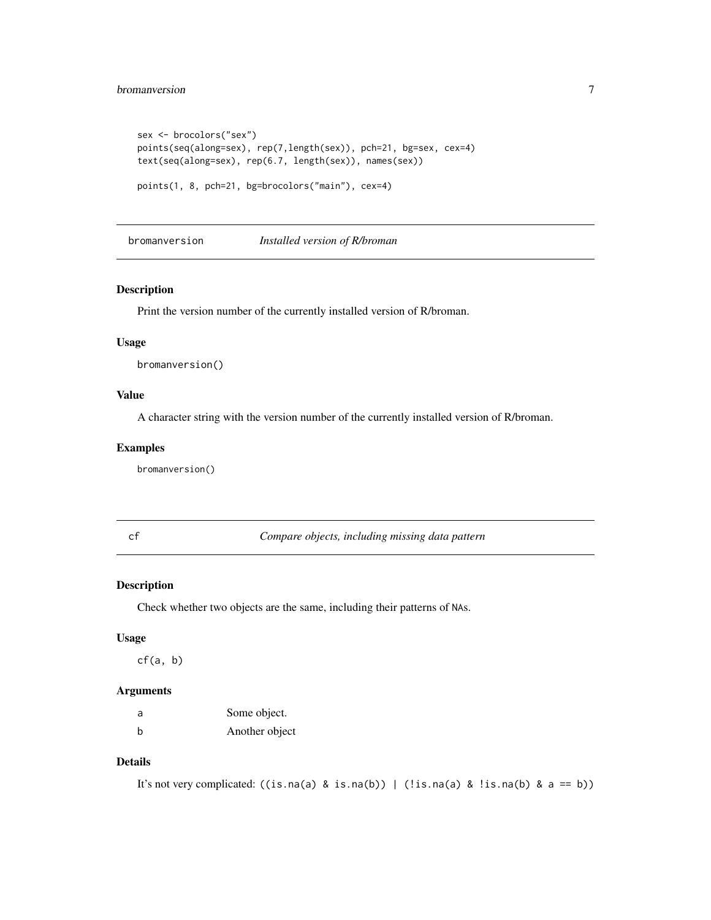# <span id="page-6-0"></span>bromanversion 7

```
sex <- brocolors("sex")
points(seq(along=sex), rep(7,length(sex)), pch=21, bg=sex, cex=4)
text(seq(along=sex), rep(6.7, length(sex)), names(sex))
points(1, 8, pch=21, bg=brocolors("main"), cex=4)
```
bromanversion *Installed version of R/broman*

#### Description

Print the version number of the currently installed version of R/broman.

#### Usage

bromanversion()

## Value

A character string with the version number of the currently installed version of R/broman.

## Examples

bromanversion()

cf *Compare objects, including missing data pattern*

#### Description

Check whether two objects are the same, including their patterns of NAs.

## Usage

 $cf(a, b)$ 

## Arguments

| a | Some object.   |
|---|----------------|
| b | Another object |

# Details

```
It's not very complicated: ((is.na(a) & is.na(b)) | (!is.na(a) & !is.na(b) & a == b))
```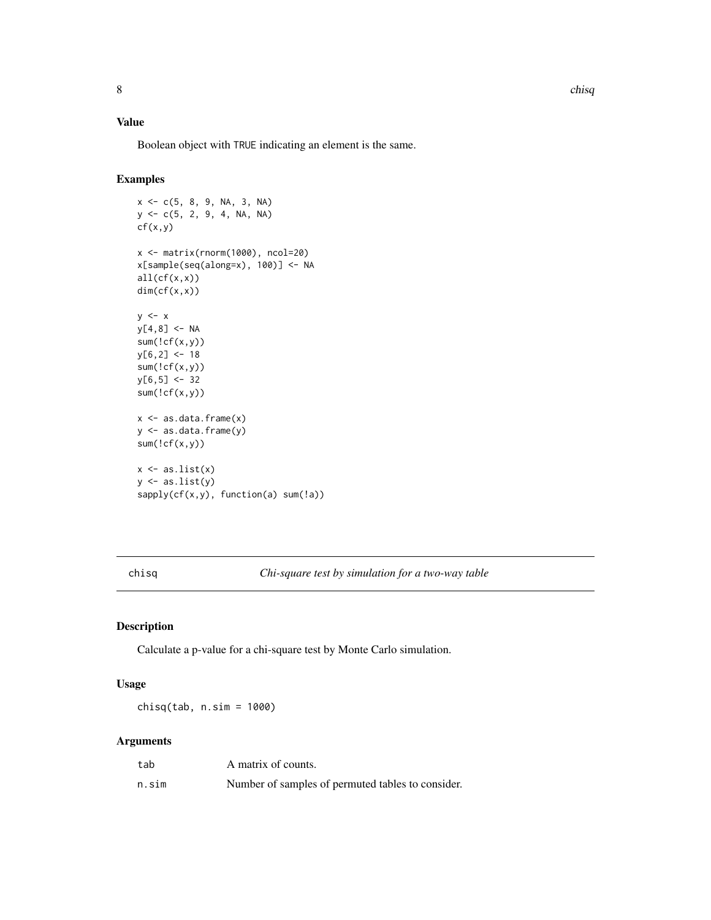# <span id="page-7-0"></span>Value

Boolean object with TRUE indicating an element is the same.

# Examples

```
x \leq -c(5, 8, 9, NA, 3, NA)y <- c(5, 2, 9, 4, NA, NA)
cf(x,y)x <- matrix(rnorm(1000), ncol=20)
x[sample(seq(along=x), 100)] <- NA
all(cf(x,x))dim(cf(x,x))
y \leq -xy[4,8] <- NA
sum(!cf(x,y))
y[6,2] < -18sum(!cf(x,y))
y[6,5] < -32sum(!cf(x,y))
x <- as.data.frame(x)
y <- as.data.frame(y)
sum('cf(x,y))x \leftarrow as,list(x)y \leftarrow as.list(y)sapply(cf(x,y), function(a) sum(!a))
```
<span id="page-7-1"></span>chisq *Chi-square test by simulation for a two-way table*

# Description

Calculate a p-value for a chi-square test by Monte Carlo simulation.

#### Usage

chisq(tab, n.sim = 1000)

# Arguments

| tab   | A matrix of counts.                               |
|-------|---------------------------------------------------|
| n.sim | Number of samples of permuted tables to consider. |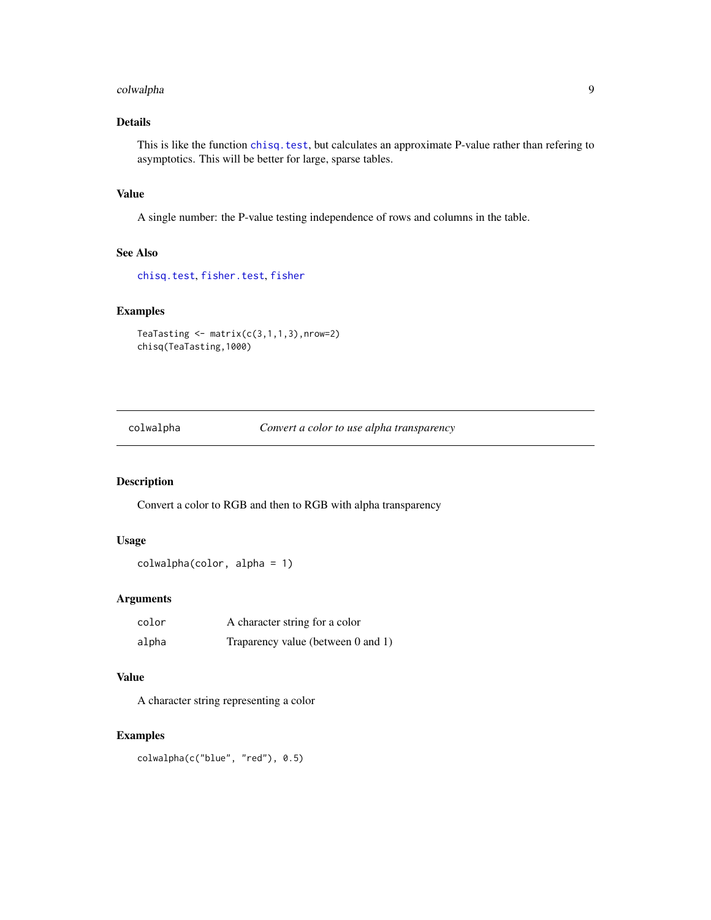# <span id="page-8-0"></span>colwalpha 9

# Details

This is like the function [chisq.test](#page-0-0), but calculates an approximate P-value rather than refering to asymptotics. This will be better for large, sparse tables.

## Value

A single number: the P-value testing independence of rows and columns in the table.

## See Also

[chisq.test](#page-0-0), [fisher.test](#page-0-0), [fisher](#page-15-1)

# Examples

```
TeaTasting \leq matrix(c(3,1,1,3), nrow=2)
chisq(TeaTasting,1000)
```
colwalpha *Convert a color to use alpha transparency*

# Description

Convert a color to RGB and then to RGB with alpha transparency

#### Usage

```
colwalpha(color, alpha = 1)
```
# Arguments

| color | A character string for a color     |
|-------|------------------------------------|
| alpha | Traparency value (between 0 and 1) |

# Value

A character string representing a color

# Examples

colwalpha(c("blue", "red"), 0.5)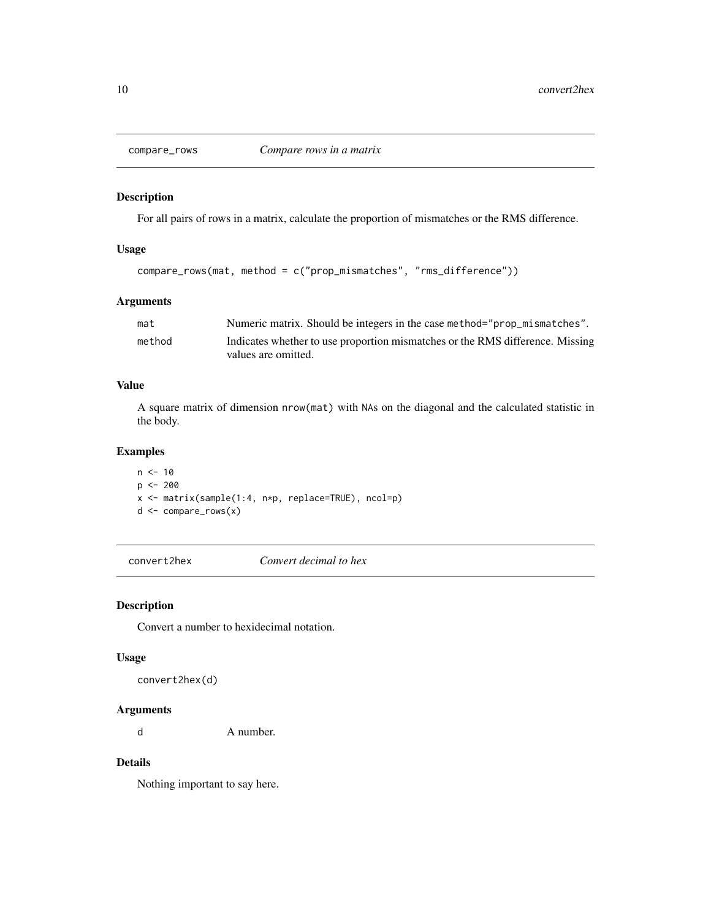<span id="page-9-0"></span>

For all pairs of rows in a matrix, calculate the proportion of mismatches or the RMS difference.

# Usage

```
compare_rows(mat, method = c("prop_mismatches", "rms_difference"))
```
# Arguments

| mat    | Numeric matrix. Should be integers in the case method="prop_mismatches".      |
|--------|-------------------------------------------------------------------------------|
| method | Indicates whether to use proportion mismatches or the RMS difference. Missing |
|        | values are omitted.                                                           |

## Value

A square matrix of dimension nrow(mat) with NAs on the diagonal and the calculated statistic in the body.

# Examples

 $n < -10$  $p$  <- 200 x <- matrix(sample(1:4, n\*p, replace=TRUE), ncol=p) d <- compare\_rows(x)

convert2hex *Convert decimal to hex*

## <span id="page-9-1"></span>Description

Convert a number to hexidecimal notation.

# Usage

convert2hex(d)

# Arguments

d A number.

# Details

Nothing important to say here.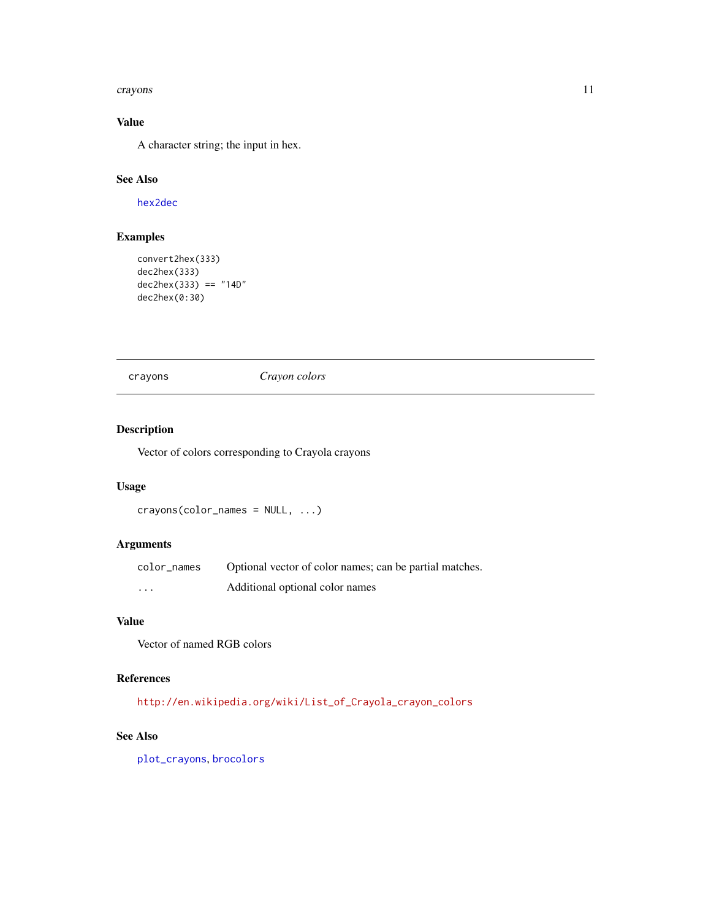#### <span id="page-10-0"></span>crayons and the contract of the contract of the contract of the contract of the contract of the contract of the contract of the contract of the contract of the contract of the contract of the contract of the contract of th

# Value

A character string; the input in hex.

# See Also

[hex2dec](#page-20-1)

# Examples

```
convert2hex(333)
dec2hex(333)
dec2hex(333) == "14D"dec2hex(0:30)
```
crayons *Crayon colors*

# Description

Vector of colors corresponding to Crayola crayons

# Usage

```
crayons(color_names = NULL, ...)
```
# Arguments

| color names | Optional vector of color names; can be partial matches. |
|-------------|---------------------------------------------------------|
| $\cdots$    | Additional optional color names                         |

# Value

Vector of named RGB colors

# References

[http://en.wikipedia.org/wiki/List\\_of\\_Crayola\\_crayon\\_colors](http://en.wikipedia.org/wiki/List_of_Crayola_crayon_colors)

# See Also

[plot\\_crayons](#page-35-1), [brocolors](#page-5-1)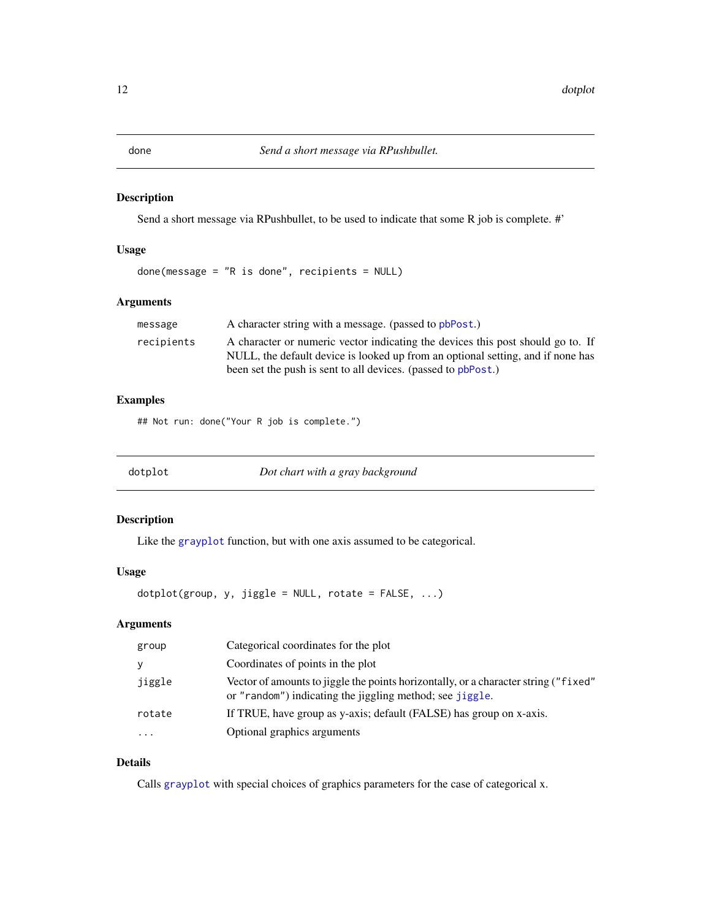<span id="page-11-0"></span>

Send a short message via RPushbullet, to be used to indicate that some R job is complete. #'

# Usage

done(message = "R is done", recipients = NULL)

# Arguments

| message    | A character string with a message. (passed to pbPost.)                          |
|------------|---------------------------------------------------------------------------------|
| recipients | A character or numeric vector indicating the devices this post should go to. If |
|            | NULL, the default device is looked up from an optional setting, and if none has |
|            | been set the push is sent to all devices. (passed to pbPost.)                   |

# Examples

## Not run: done("Your R job is complete.")

<span id="page-11-1"></span>dotplot *Dot chart with a gray background*

## Description

Like the [grayplot](#page-16-1) function, but with one axis assumed to be categorical.

# Usage

 $dot(group, y, jiggle = NULL, rotate = FALSE, ...)$ 

# Arguments

| group  | Categorical coordinates for the plot                                                                                                            |
|--------|-------------------------------------------------------------------------------------------------------------------------------------------------|
| ۷      | Coordinates of points in the plot                                                                                                               |
| jiggle | Vector of amounts to jiggle the points horizontally, or a character string ("fixed"<br>or "random") indicating the jiggling method; see jiggle. |
| rotate | If TRUE, have group as y-axis; default (FALSE) has group on x-axis.                                                                             |
| .      | Optional graphics arguments                                                                                                                     |

# Details

Calls [grayplot](#page-16-1) with special choices of graphics parameters for the case of categorical x.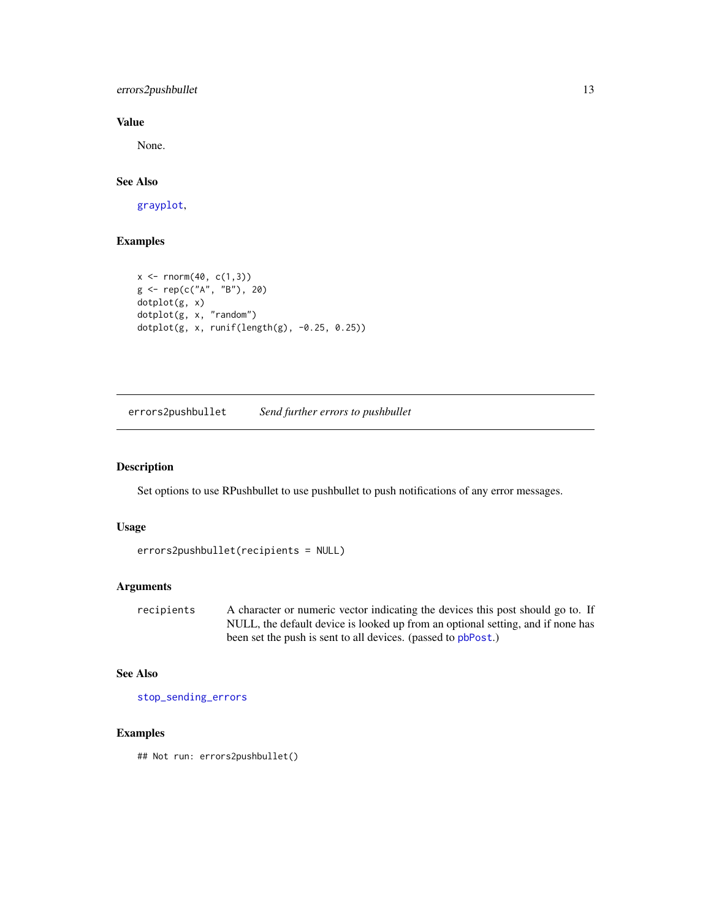<span id="page-12-0"></span>errors2pushbullet 13

# Value

None.

# See Also

[grayplot](#page-16-1),

# Examples

```
x \le - rnorm(40, c(1,3))
g <- rep(c("A", "B"), 20)
dotplot(g, x)
dotplot(g, x, "random")
dotplot(g, x, runif(length(g), -0.25, 0.25))
```
<span id="page-12-1"></span>errors2pushbullet *Send further errors to pushbullet*

# Description

Set options to use RPushbullet to use pushbullet to push notifications of any error messages.

#### Usage

```
errors2pushbullet(recipients = NULL)
```
#### Arguments

recipients A character or numeric vector indicating the devices this post should go to. If NULL, the default device is looked up from an optional setting, and if none has been set the push is sent to all devices. (passed to [pbPost](#page-0-0).)

# See Also

[stop\\_sending\\_errors](#page-44-1)

#### Examples

## Not run: errors2pushbullet()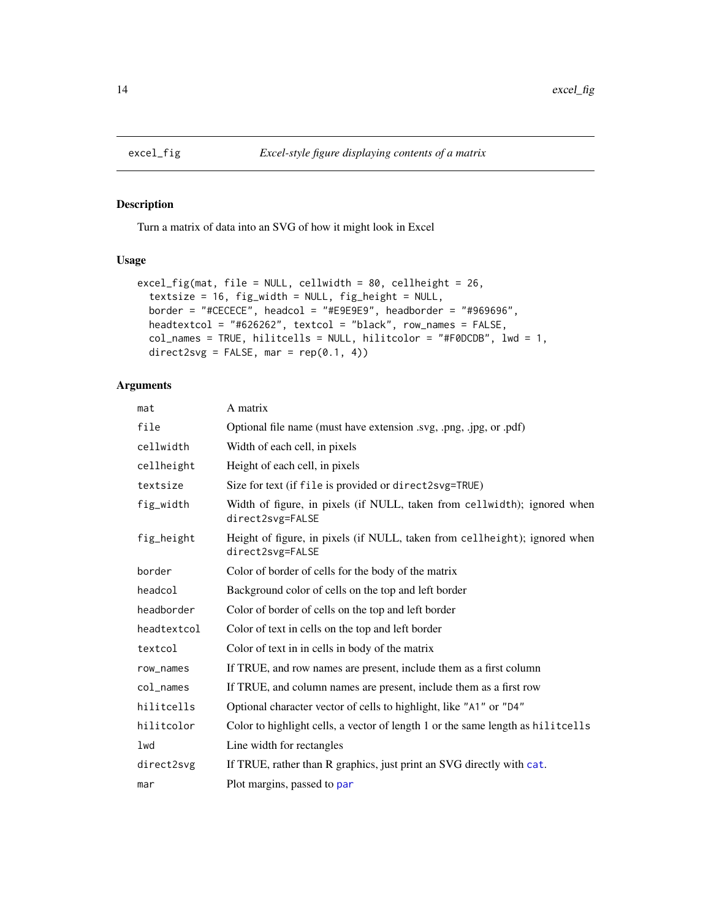<span id="page-13-0"></span>

Turn a matrix of data into an SVG of how it might look in Excel

#### Usage

```
excel_fig(mat, file = NULL, cellwidth = 80, cellheight = 26,
  textsize = 16, fig_width = NULL, fig_height = NULL,
 border = "#CECECE", headcol = "#E9E9E9", headborder = "#969696",
 headtextcol = "#626262", textcol = "black", row_names = FALSE,
  col_names = TRUE, hilitcells = NULL, hilitcolor = "#F0DCDB", lwd = 1,
  direct2svg = FALSE, mar = rep(0.1, 4))
```
# Arguments

| mat         | A matrix                                                                                       |
|-------------|------------------------------------------------------------------------------------------------|
| file        | Optional file name (must have extension .svg, .png, .jpg, or .pdf)                             |
| cellwidth   | Width of each cell, in pixels                                                                  |
| cellheight  | Height of each cell, in pixels                                                                 |
| textsize    | Size for text (if file is provided or direct2svg=TRUE)                                         |
| fig_width   | Width of figure, in pixels (if NULL, taken from cellwidth); ignored when<br>direct2svg=FALSE   |
| fig_height  | Height of figure, in pixels (if NULL, taken from cellheight); ignored when<br>direct2svg=FALSE |
| border      | Color of border of cells for the body of the matrix                                            |
| headcol     | Background color of cells on the top and left border                                           |
| headborder  | Color of border of cells on the top and left border                                            |
| headtextcol | Color of text in cells on the top and left border                                              |
| textcol     | Color of text in in cells in body of the matrix                                                |
| row_names   | If TRUE, and row names are present, include them as a first column                             |
| col_names   | If TRUE, and column names are present, include them as a first row                             |
| hilitcells  | Optional character vector of cells to highlight, like "A1" or "D4"                             |
| hilitcolor  | Color to highlight cells, a vector of length 1 or the same length as hilitcells                |
| lwd         | Line width for rectangles                                                                      |
| direct2svg  | If TRUE, rather than R graphics, just print an SVG directly with cat.                          |
| mar         | Plot margins, passed to par                                                                    |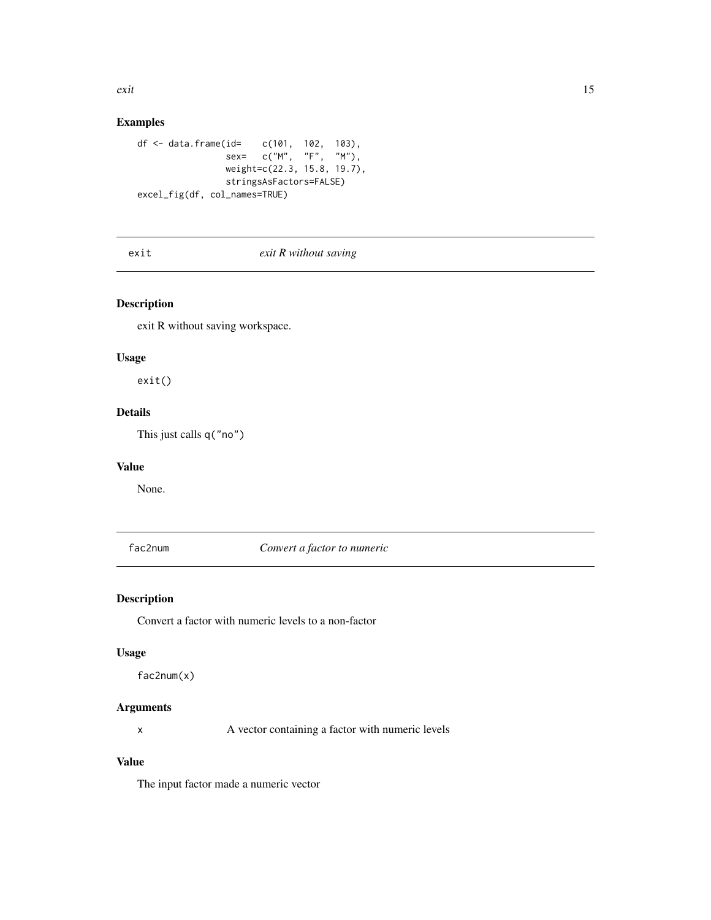<span id="page-14-0"></span>exit and the second second second second second second second second second second second second second second second second second second second second second second second second second second second second second second

# Examples

```
df <- data.frame(id= c(101, 102, 103),
                sex= c("M", "F", "M"),
                weight=c(22.3, 15.8, 19.7),
                stringsAsFactors=FALSE)
excel_fig(df, col_names=TRUE)
```
# exit *exit R without saving*

# Description

exit R without saving workspace.

# Usage

exit()

# Details

This just calls q("no")

# Value

None.

fac2num *Convert a factor to numeric*

## Description

Convert a factor with numeric levels to a non-factor

## Usage

fac2num(x)

#### Arguments

x A vector containing a factor with numeric levels

# Value

The input factor made a numeric vector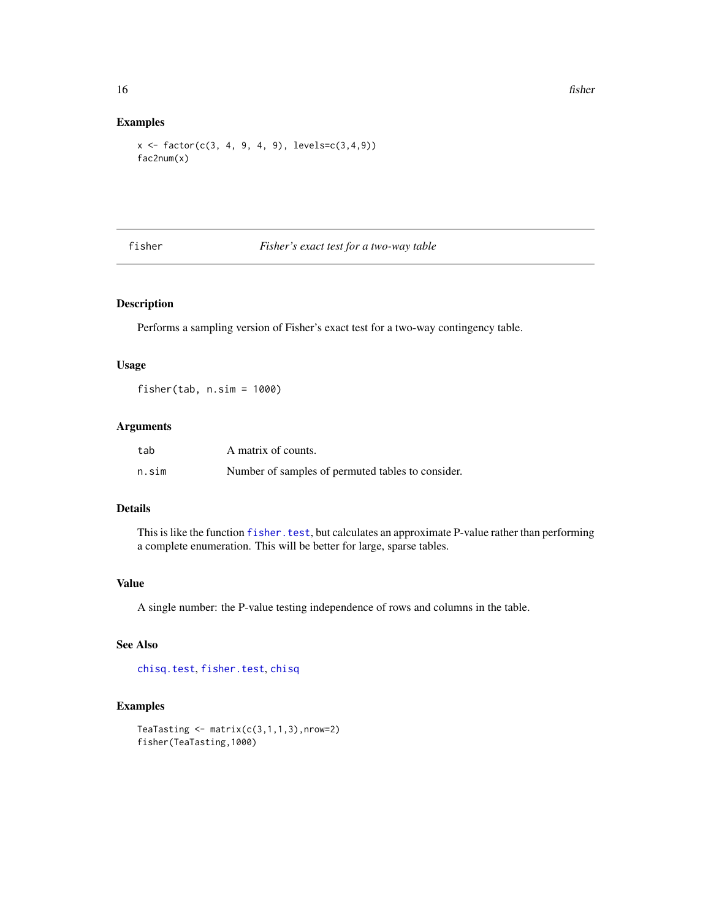# Examples

```
x \leftarrow factor(c(3, 4, 9, 4, 9), levels=c(3,4,9))fac2num(x)
```
<span id="page-15-1"></span>fisher *Fisher's exact test for a two-way table*

# Description

Performs a sampling version of Fisher's exact test for a two-way contingency table.

# Usage

fisher(tab, n.sim = 1000)

# Arguments

| tab   | A matrix of counts.                               |
|-------|---------------------------------------------------|
| n.sim | Number of samples of permuted tables to consider. |

#### Details

This is like the function [fisher.test](#page-0-0), but calculates an approximate P-value rather than performing a complete enumeration. This will be better for large, sparse tables.

#### Value

A single number: the P-value testing independence of rows and columns in the table.

# See Also

[chisq.test](#page-0-0), [fisher.test](#page-0-0), [chisq](#page-7-1)

```
TeaTasting \leq matrix(c(3,1,1,3), nrow=2)
fisher(TeaTasting,1000)
```
<span id="page-15-0"></span>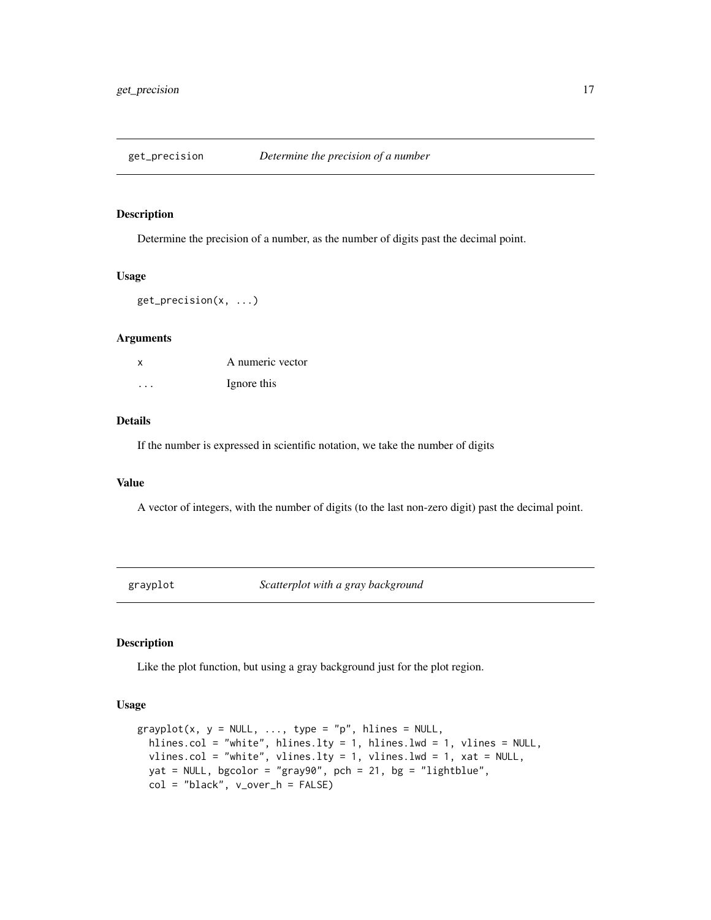<span id="page-16-0"></span>

Determine the precision of a number, as the number of digits past the decimal point.

#### Usage

get\_precision(x, ...)

# Arguments

| x        | A numeric vector |
|----------|------------------|
| $\cdots$ | Ignore this      |

# Details

If the number is expressed in scientific notation, we take the number of digits

#### Value

A vector of integers, with the number of digits (to the last non-zero digit) past the decimal point.

<span id="page-16-1"></span>grayplot *Scatterplot with a gray background*

# Description

Like the plot function, but using a gray background just for the plot region.

#### Usage

```
graph(x, y = NULL, ..., type = "p", hlines = NULL,hlines.col = "white", hlines.lty = 1, hlines.lwd = 1, vlines = NULL,
 vlines.col = "white", vlines.lty = 1, vlines.lwd = 1, xat = NULL,
 yat = NULL, bgcolor = "gray90", pch = 21, bg = "lightblue",
 col = "black", v_over_h = FALSE)
```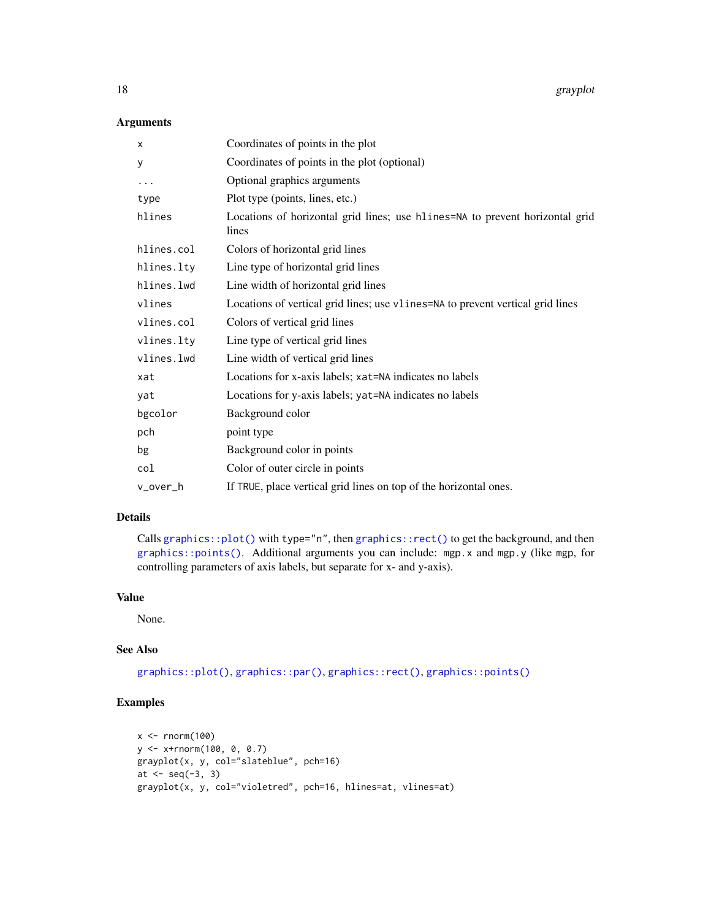# Arguments

| X          | Coordinates of points in the plot                                                     |
|------------|---------------------------------------------------------------------------------------|
| У          | Coordinates of points in the plot (optional)                                          |
| .          | Optional graphics arguments                                                           |
| type       | Plot type (points, lines, etc.)                                                       |
| hlines     | Locations of horizontal grid lines; use hlines=NA to prevent horizontal grid<br>lines |
| hlines.col | Colors of horizontal grid lines                                                       |
| hlines.lty | Line type of horizontal grid lines                                                    |
| hlines.lwd | Line width of horizontal grid lines                                                   |
| vlines     | Locations of vertical grid lines; use v1ines=NA to prevent vertical grid lines        |
| vlines.col | Colors of vertical grid lines                                                         |
| vlines.lty | Line type of vertical grid lines                                                      |
| vlines.lwd | Line width of vertical grid lines                                                     |
| xat        | Locations for x-axis labels; xat=NA indicates no labels                               |
| yat        | Locations for y-axis labels; yat=NA indicates no labels                               |
| bgcolor    | Background color                                                                      |
| pch        | point type                                                                            |
| bg         | Background color in points                                                            |
| col        | Color of outer circle in points                                                       |
| v_over_h   | If TRUE, place vertical grid lines on top of the horizontal ones.                     |

# Details

Calls [graphics::plot\(\)](#page-0-0) with type="n", then [graphics::rect\(\)](#page-0-0) to get the background, and then [graphics::points\(\)](#page-0-0). Additional arguments you can include: mgp.x and mgp.y (like mgp, for controlling parameters of axis labels, but separate for x- and y-axis).

# Value

None.

#### See Also

[graphics::plot\(\)](#page-0-0), [graphics::par\(\)](#page-0-0), [graphics::rect\(\)](#page-0-0), [graphics::points\(\)](#page-0-0)

```
x < - rnorm(100)
y <- x+rnorm(100, 0, 0.7)
grayplot(x, y, col="slateblue", pch=16)
at <- seq(-3, 3)
grayplot(x, y, col="violetred", pch=16, hlines=at, vlines=at)
```
<span id="page-17-0"></span>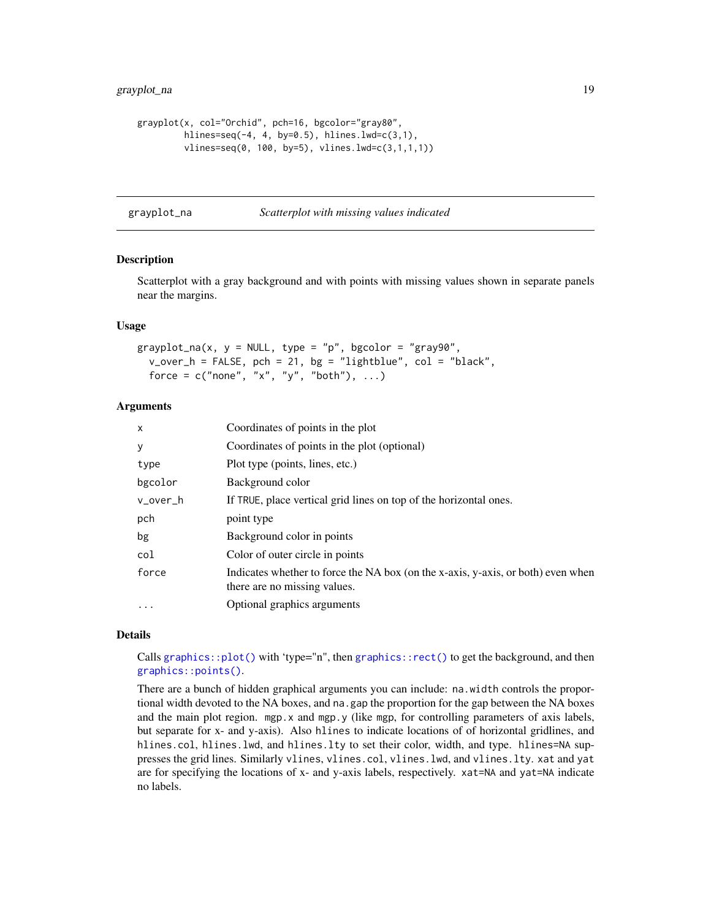```
grayplot(x, col="Orchid", pch=16, bgcolor="gray80",
        hlines=seq(-4, 4, by=0.5), hlines.lwd=c(3,1),
        vlines=seq(0, 100, by=5), vlines.lwd=c(3,1,1,1))
```
grayplot\_na *Scatterplot with missing values indicated*

#### Description

Scatterplot with a gray background and with points with missing values shown in separate panels near the margins.

#### Usage

grayplot\_na(x,  $y = NULL$ , type = "p", bgcolor = "gray90",  $v_{\text{over}} - h = F A L SE$ , pch = 21, bg = "lightblue", col = "black", force =  $c("none", "x", "y", "both"), ...$ 

## **Arguments**

| X        | Coordinates of points in the plot                                                                                |
|----------|------------------------------------------------------------------------------------------------------------------|
| У        | Coordinates of points in the plot (optional)                                                                     |
| type     | Plot type (points, lines, etc.)                                                                                  |
| bgcolor  | Background color                                                                                                 |
| v_over_h | If TRUE, place vertical grid lines on top of the horizontal ones.                                                |
| pch      | point type                                                                                                       |
| bg       | Background color in points                                                                                       |
| col      | Color of outer circle in points                                                                                  |
| force    | Indicates whether to force the NA box (on the x-axis, y-axis, or both) even when<br>there are no missing values. |
| $\cdots$ | Optional graphics arguments                                                                                      |

#### Details

Calls graphics:: $plot()$  with 'type="n", then graphics:: $rect()$  to get the background, and then [graphics::points\(\)](#page-0-0).

There are a bunch of hidden graphical arguments you can include: na.width controls the proportional width devoted to the NA boxes, and na.gap the proportion for the gap between the NA boxes and the main plot region.  $mpg.x$  and  $mgp.y$  (like mgp, for controlling parameters of axis labels, but separate for x- and y-axis). Also hlines to indicate locations of of horizontal gridlines, and hlines.col, hlines.lwd, and hlines.lty to set their color, width, and type. hlines=NA suppresses the grid lines. Similarly vlines, vlines.col, vlines.lwd, and vlines.lty. xat and yat are for specifying the locations of x- and y-axis labels, respectively. xat=NA and yat=NA indicate no labels.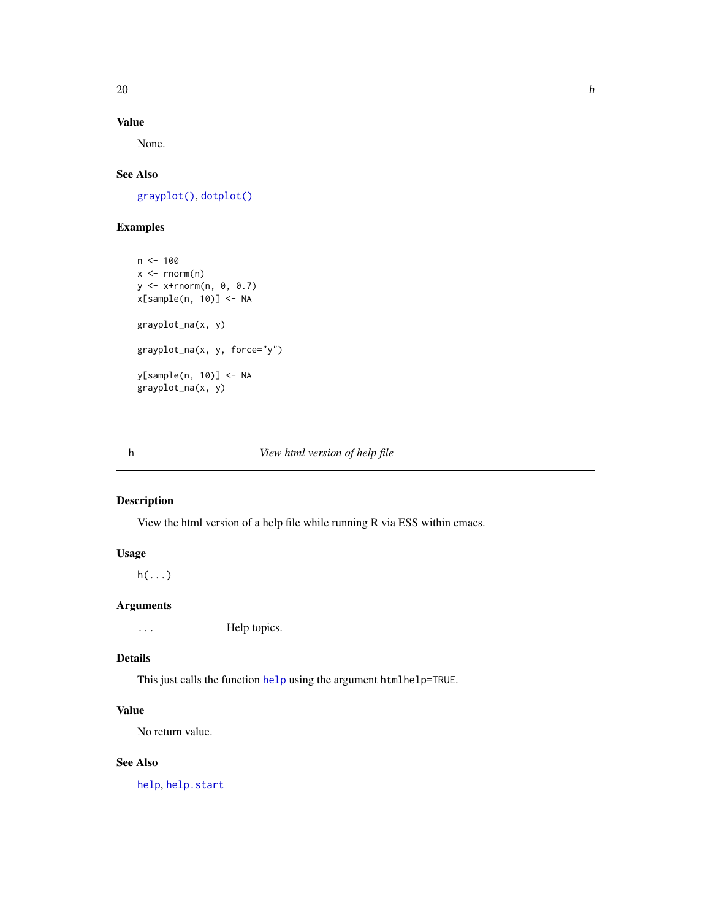# <span id="page-19-0"></span>Value

None.

# See Also

[grayplot\(\)](#page-16-1), [dotplot\(\)](#page-11-1)

# Examples

 $n < -100$  $x \leftarrow \text{norm}(n)$ y <- x+rnorm(n, 0, 0.7) x[sample(n, 10)] <- NA grayplot\_na(x, y) grayplot\_na(x, y, force="y") y[sample(n, 10)] <- NA grayplot\_na(x, y)

# h *View html version of help file*

# Description

View the html version of a help file while running R via ESS within emacs.

# Usage

 $h(\ldots)$ 

# Arguments

... Help topics.

# Details

This just calls the function [help](#page-0-0) using the argument htmlhelp=TRUE.

# Value

No return value.

# See Also

[help](#page-0-0), [help.start](#page-0-0)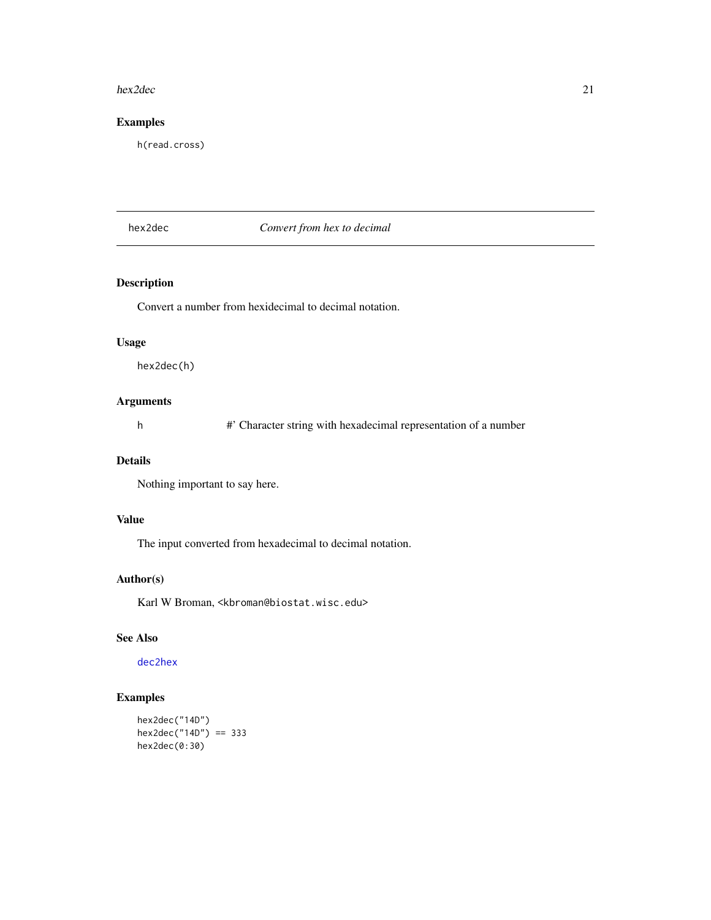#### <span id="page-20-0"></span>hex2dec 21

# Examples

h(read.cross)

# <span id="page-20-1"></span>hex2dec *Convert from hex to decimal*

# Description

Convert a number from hexidecimal to decimal notation.

## Usage

hex2dec(h)

# Arguments

h #' Character string with hexadecimal representation of a number

# Details

Nothing important to say here.

# Value

The input converted from hexadecimal to decimal notation.

#### Author(s)

Karl W Broman, <kbroman@biostat.wisc.edu>

# See Also

[dec2hex](#page-9-1)

# Examples

hex2dec("14D") hex2dec("14D") == 333 hex2dec(0:30)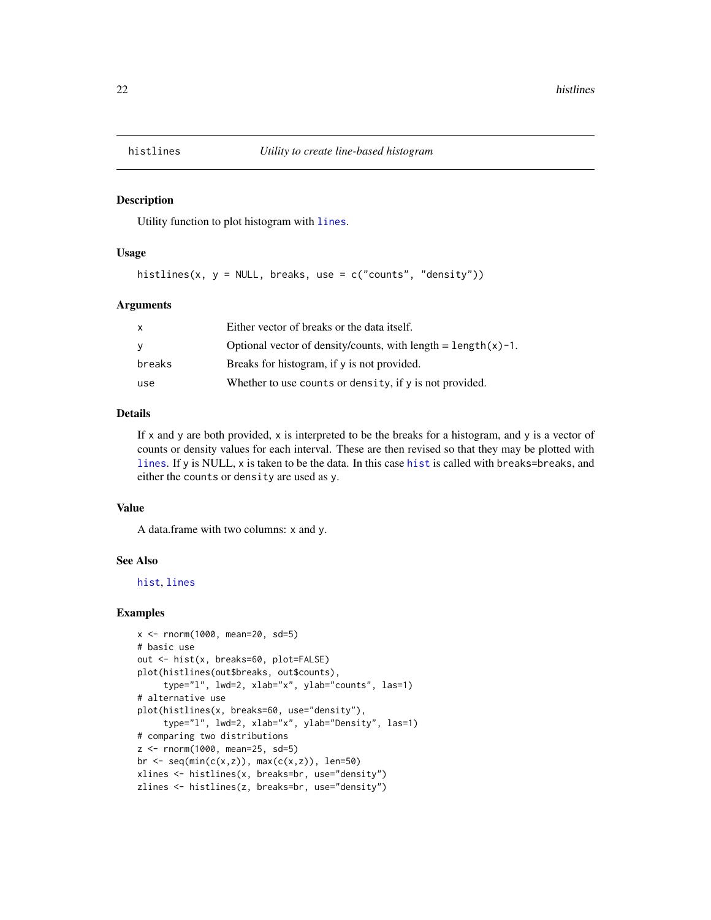<span id="page-21-0"></span>

Utility function to plot histogram with [lines](#page-0-0).

#### Usage

histlines(x, y = NULL, breaks, use = c("counts", "density"))

# Arguments

| X      | Either vector of breaks or the data itself.                      |
|--------|------------------------------------------------------------------|
| У      | Optional vector of density/counts, with length = $length(x)-1$ . |
| breaks | Breaks for histogram, if y is not provided.                      |
| use    | Whether to use counts or density, if y is not provided.          |

#### Details

If x and y are both provided, x is interpreted to be the breaks for a histogram, and y is a vector of counts or density values for each interval. These are then revised so that they may be plotted with [lines](#page-0-0). If y is NULL, x is taken to be the data. In this case [hist](#page-0-0) is called with breaks=breaks, and either the counts or density are used as y.

#### Value

A data.frame with two columns: x and y.

#### See Also

[hist](#page-0-0), [lines](#page-0-0)

```
x \le - rnorm(1000, mean=20, sd=5)
# basic use
out <- hist(x, breaks=60, plot=FALSE)
plot(histlines(out$breaks, out$counts),
     type="l", lwd=2, xlab="x", ylab="counts", las=1)
# alternative use
plot(histlines(x, breaks=60, use="density"),
     type="l", lwd=2, xlab="x", ylab="Density", las=1)
# comparing two distributions
z <- rnorm(1000, mean=25, sd=5)
br \leq seq(min(c(x,z)), max(c(x,z)), len=50)
xlines <- histlines(x, breaks=br, use="density")
zlines <- histlines(z, breaks=br, use="density")
```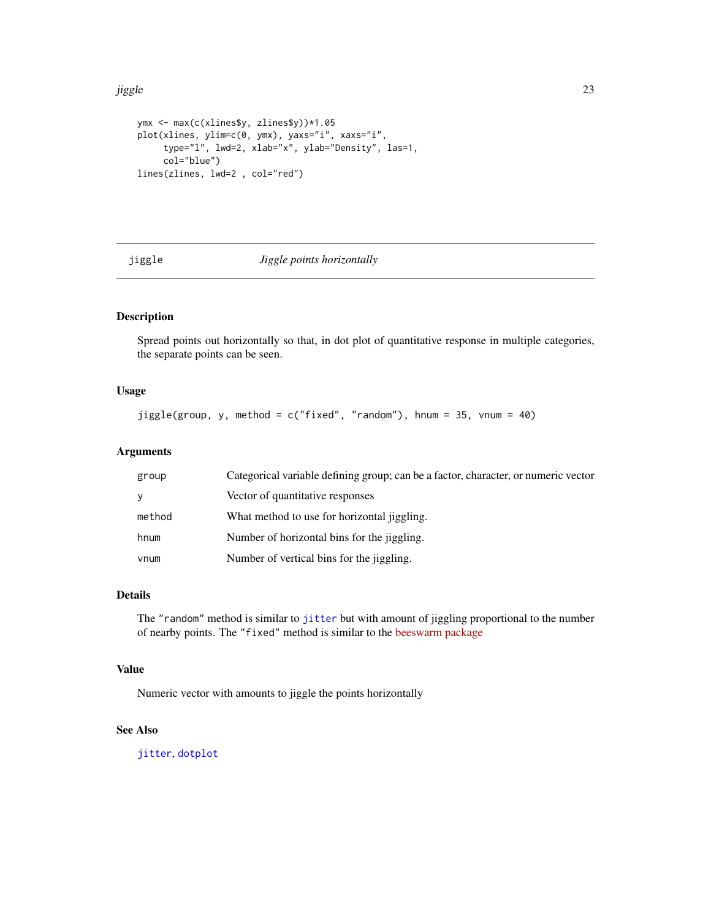#### <span id="page-22-0"></span>jiggle 23

```
ymx <- max(c(xlines$y, zlines$y))*1.05
plot(xlines, ylim=c(0, ymx), yaxs="i", xaxs="i",
     type="l", lwd=2, xlab="x", ylab="Density", las=1,
     col="blue")
lines(zlines, lwd=2 , col="red")
```
#### <span id="page-22-1"></span>jiggle *Jiggle points horizontally*

# Description

Spread points out horizontally so that, in dot plot of quantitative response in multiple categories, the separate points can be seen.

# Usage

jiggle(group, y, method = c("fixed", "random"), hnum = 35, vnum = 40)

#### Arguments

| group  | Categorical variable defining group; can be a factor, character, or numeric vector |
|--------|------------------------------------------------------------------------------------|
| V      | Vector of quantitative responses                                                   |
| method | What method to use for horizontal jiggling.                                        |
| hnum   | Number of horizontal bins for the jiggling.                                        |
| vnum   | Number of vertical bins for the jiggling.                                          |

## Details

The "random" method is similar to [jitter](#page-0-0) but with amount of jiggling proportional to the number of nearby points. The "fixed" method is similar to the [beeswarm package](http://www.cbs.dtu.dk/~eklund/beeswarm/)

#### Value

Numeric vector with amounts to jiggle the points horizontally

# See Also

[jitter](#page-0-0), [dotplot](#page-11-1)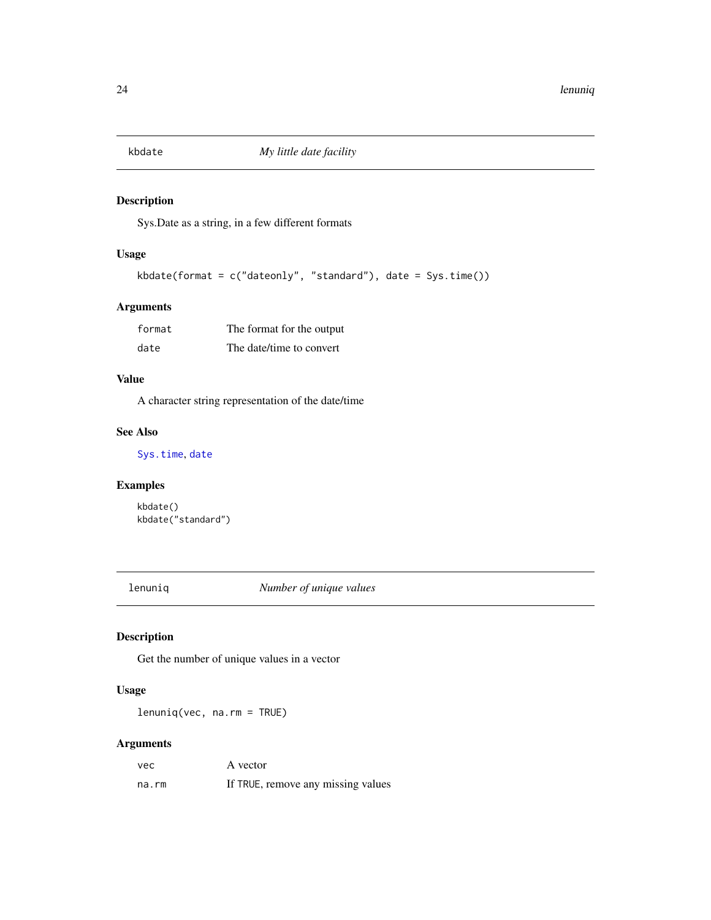<span id="page-23-0"></span>

Sys.Date as a string, in a few different formats

#### Usage

```
kbdate(format = c("dateonly", "standard"), date = Sys.time())
```
# Arguments

| format | The format for the output |
|--------|---------------------------|
| date   | The date/time to convert  |

# Value

A character string representation of the date/time

#### See Also

[Sys.time](#page-0-0), [date](#page-0-0)

# Examples

kbdate() kbdate("standard")

lenuniq *Number of unique values*

# Description

Get the number of unique values in a vector

# Usage

lenuniq(vec, na.rm = TRUE)

#### Arguments

| vec   | A vector                           |
|-------|------------------------------------|
| na.rm | If TRUE, remove any missing values |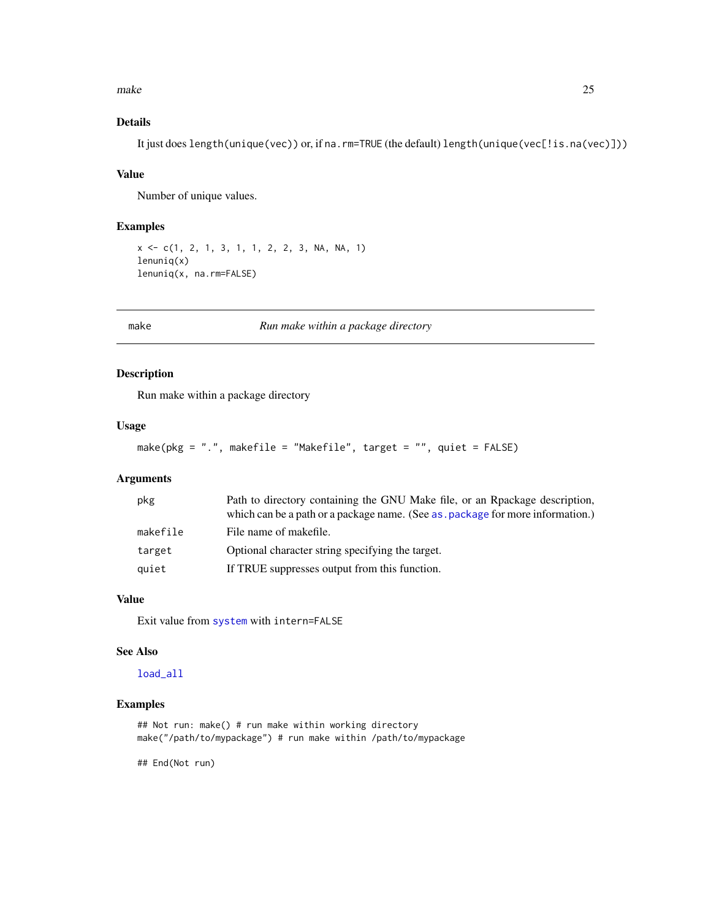<span id="page-24-0"></span>make 25

# Details

It just does length(unique(vec)) or, if na.rm=TRUE (the default) length(unique(vec[!is.na(vec)]))

## Value

Number of unique values.

#### Examples

```
x \leq -c(1, 2, 1, 3, 1, 1, 2, 2, 3, NA, NA, 1)lenuniq(x)
lenuniq(x, na.rm=FALSE)
```
make *Run make within a package directory*

# Description

Run make within a package directory

#### Usage

```
make(pkg = ".", makefile = "Makefile", target = "", quiet = FALSE)
```
# Arguments

| pkg      | Path to directory containing the GNU Make file, or an Rpackage description,<br>which can be a path or a package name. (See as, package for more information.) |
|----------|---------------------------------------------------------------------------------------------------------------------------------------------------------------|
| makefile | File name of makefile.                                                                                                                                        |
| target   | Optional character string specifying the target.                                                                                                              |
| quiet    | If TRUE suppresses output from this function.                                                                                                                 |

# Value

Exit value from [system](#page-0-0) with intern=FALSE

## See Also

[load\\_all](#page-0-0)

## Examples

```
## Not run: make() # run make within working directory
make("/path/to/mypackage") # run make within /path/to/mypackage
```
## End(Not run)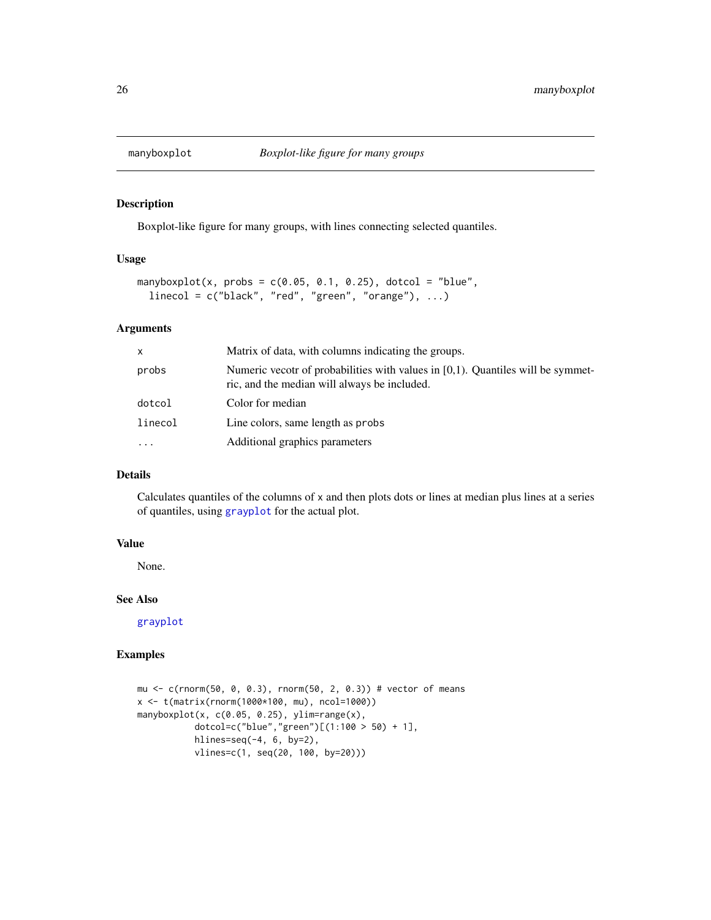<span id="page-25-0"></span>

Boxplot-like figure for many groups, with lines connecting selected quantiles.

# Usage

```
mapboxplot(x, probs = c(0.05, 0.1, 0.25), dotcol = "blue",linecol = c("black", "red", "green", "orange"), ...
```
## Arguments

| x         | Matrix of data, with columns indicating the groups.                                                                                |
|-----------|------------------------------------------------------------------------------------------------------------------------------------|
| probs     | Numeric vecotr of probabilities with values in $[0,1)$ . Quantiles will be symmet-<br>ric, and the median will always be included. |
| dotcol    | Color for median                                                                                                                   |
| linecol   | Line colors, same length as probs                                                                                                  |
| $\ddotsc$ | Additional graphics parameters                                                                                                     |

# Details

Calculates quantiles of the columns of x and then plots dots or lines at median plus lines at a series of quantiles, using [grayplot](#page-16-1) for the actual plot.

# Value

None.

## See Also

[grayplot](#page-16-1)

```
mu <- c(rnorm(50, 0, 0.3), rnorm(50, 2, 0.3)) # vector of means
x <- t(matrix(rnorm(1000*100, mu), ncol=1000))
manyboxplot(x, c(0.05, 0.25), ylim=range(x),
           dotcol=c("blue","green")[(1:100 > 50) + 1],
           hlines=seq(-4, 6, by=2),
           vlines=c(1, seq(20, 100, by=20)))
```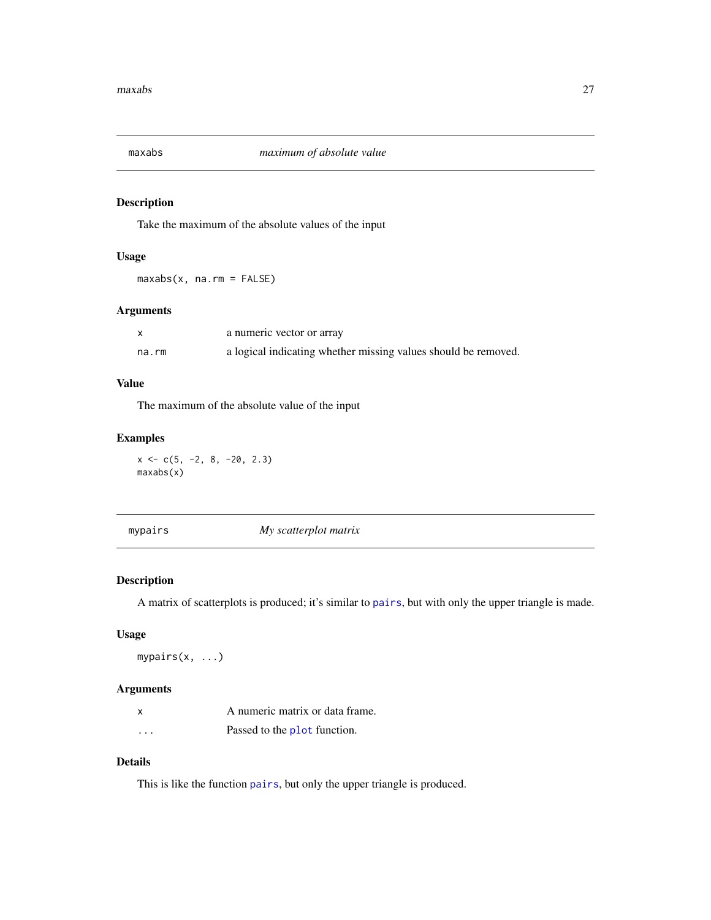<span id="page-26-0"></span>

Take the maximum of the absolute values of the input

# Usage

maxabs(x, na.rm = FALSE)

# Arguments

|       | a numeric vector or array                                      |
|-------|----------------------------------------------------------------|
| na.rm | a logical indicating whether missing values should be removed. |

#### Value

The maximum of the absolute value of the input

# Examples

 $x \leftarrow c(5, -2, 8, -20, 2.3)$ maxabs(x)

| mypairs | My scatterplot matrix |  |
|---------|-----------------------|--|
|---------|-----------------------|--|

# Description

A matrix of scatterplots is produced; it's similar to [pairs](#page-0-0), but with only the upper triangle is made.

# Usage

mypairs(x, ...)

# Arguments

|          | A numeric matrix or data frame. |
|----------|---------------------------------|
| $\cdots$ | Passed to the plot function.    |

# Details

This is like the function [pairs](#page-0-0), but only the upper triangle is produced.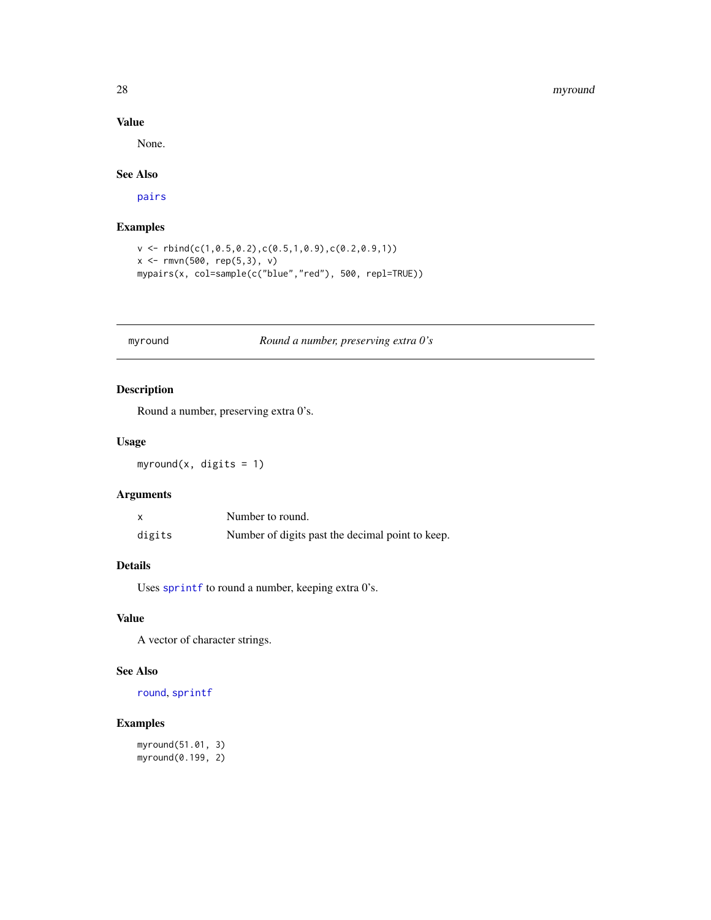#### 28 myround

# Value

None.

#### See Also

[pairs](#page-0-0)

# Examples

```
v \le rbind(c(1,0.5,0.2),c(0.5,1,0.9),c(0.2,0.9,1))
x \leq -rmvn(500, rep(5,3), v)
mypairs(x, col=sample(c("blue","red"), 500, repl=TRUE))
```
# myround *Round a number, preserving extra 0's*

# Description

Round a number, preserving extra 0's.

# Usage

myround(x, digits =  $1$ )

# Arguments

|        | Number to round.                                 |
|--------|--------------------------------------------------|
| digits | Number of digits past the decimal point to keep. |

# Details

Uses [sprintf](#page-0-0) to round a number, keeping extra 0's.

## Value

A vector of character strings.

# See Also

[round](#page-0-0), [sprintf](#page-0-0)

# Examples

myround(51.01, 3) myround(0.199, 2)

<span id="page-27-0"></span>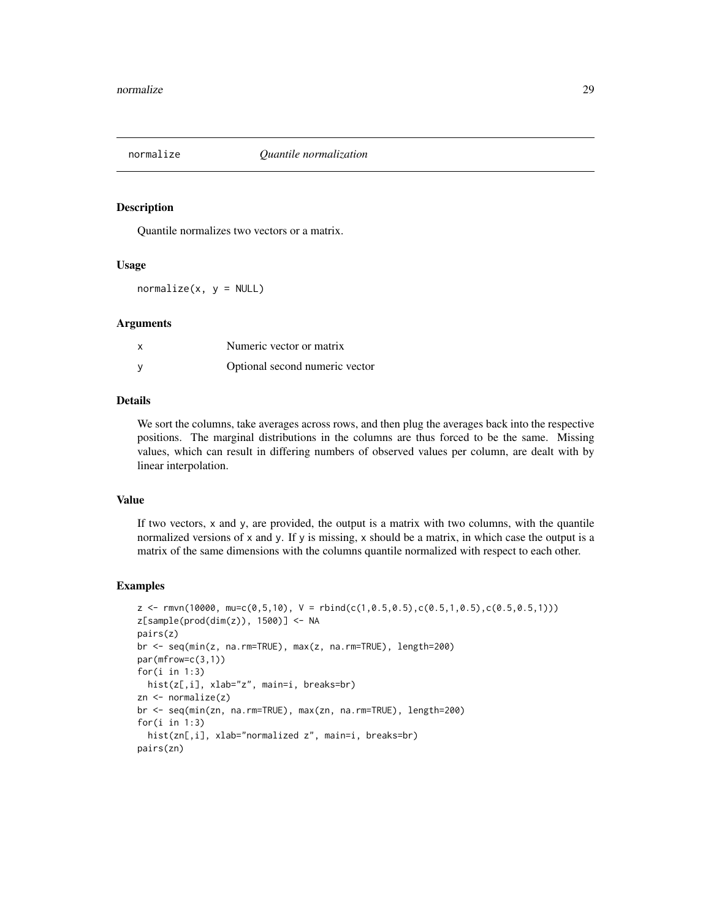<span id="page-28-0"></span>

Quantile normalizes two vectors or a matrix.

#### Usage

 $normalize(x, y = NULL)$ 

#### Arguments

| Numeric vector or matrix       |
|--------------------------------|
| Optional second numeric vector |

## Details

We sort the columns, take averages across rows, and then plug the averages back into the respective positions. The marginal distributions in the columns are thus forced to be the same. Missing values, which can result in differing numbers of observed values per column, are dealt with by linear interpolation.

#### Value

If two vectors, x and y, are provided, the output is a matrix with two columns, with the quantile normalized versions of x and y. If y is missing, x should be a matrix, in which case the output is a matrix of the same dimensions with the columns quantile normalized with respect to each other.

```
z \leftarrow \text{rm}(10000, \text{mu}=c(0.5,10), \text{V} = \text{rbind}(c(1,0.5,0.5), c(0.5,1,0.5), c(0.5,0.5,1)))z[sample(pred(dim(z)), 1500)] \leftarrow NApairs(z)
br <- seq(min(z, na.rm=TRUE), max(z, na.rm=TRUE), length=200)
par(mfrow=c(3,1))
for(i in 1:3)
  hist(z[,i], xlab="z", main=i, breaks=br)
zn <- normalize(z)
br <- seq(min(zn, na.rm=TRUE), max(zn, na.rm=TRUE), length=200)
for(i in 1:3)
  hist(zn[,i], xlab="normalized z", main=i, breaks=br)
pairs(zn)
```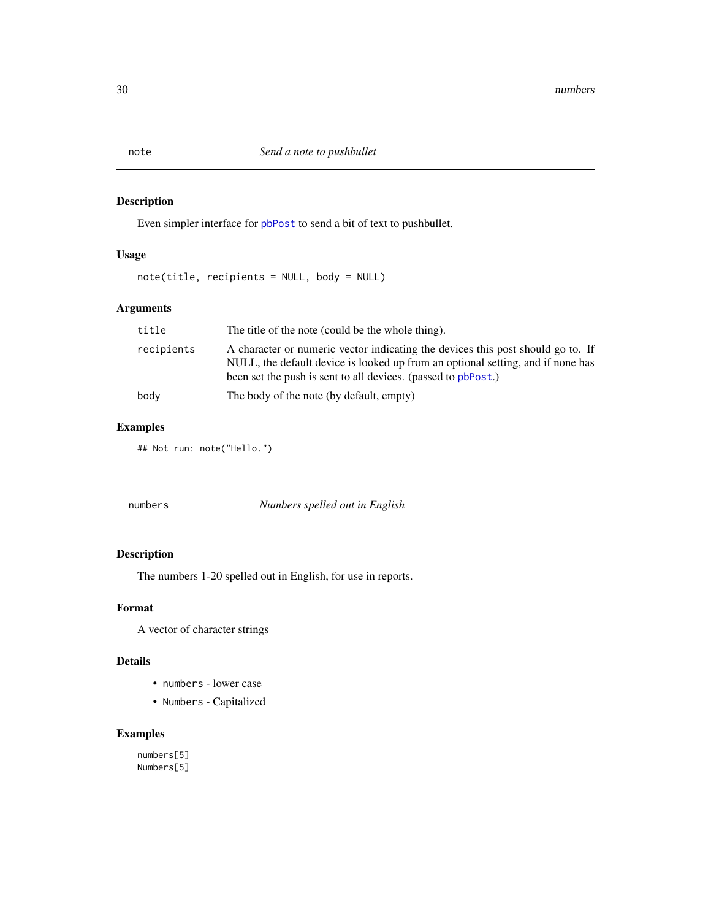Even simpler interface for [pbPost](#page-0-0) to send a bit of text to pushbullet.

# Usage

note(title, recipients = NULL, body = NULL)

# Arguments

| title      | The title of the note (could be the whole thing).                                                                                                                                                                                   |
|------------|-------------------------------------------------------------------------------------------------------------------------------------------------------------------------------------------------------------------------------------|
| recipients | A character or numeric vector indicating the devices this post should go to. If<br>NULL, the default device is looked up from an optional setting, and if none has<br>been set the push is sent to all devices. (passed to pbPost.) |
| body       | The body of the note (by default, empty)                                                                                                                                                                                            |

# Examples

## Not run: note("Hello.")

| numbers | Numbers spelled out in English |
|---------|--------------------------------|
|         |                                |

# Description

The numbers 1-20 spelled out in English, for use in reports.

# Format

A vector of character strings

# Details

- numbers lower case
- Numbers Capitalized

# Examples

numbers[5] Numbers[5]

<span id="page-29-0"></span>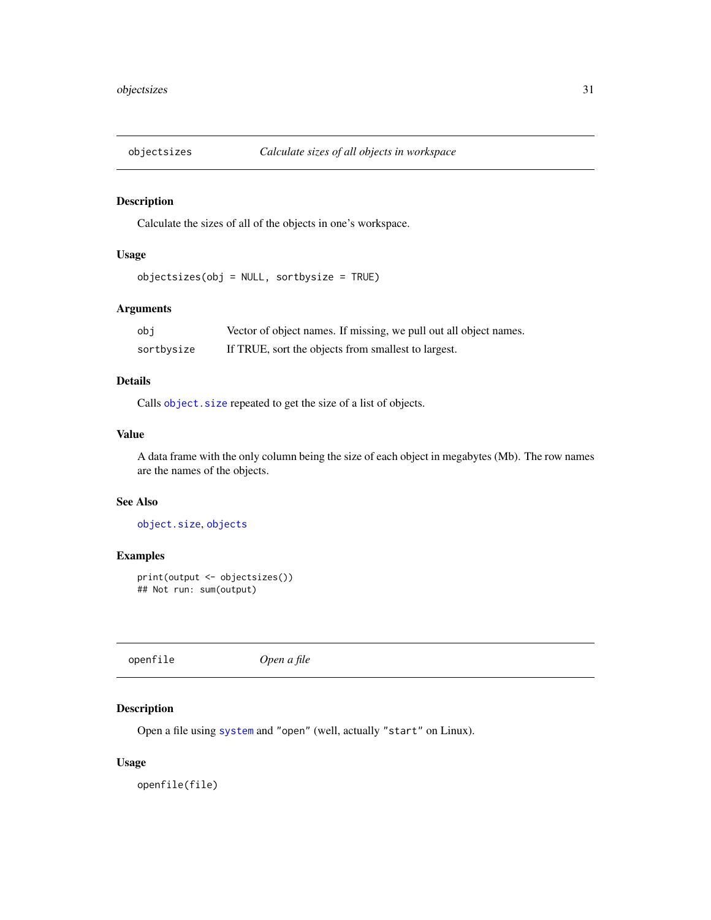<span id="page-30-0"></span>

Calculate the sizes of all of the objects in one's workspace.

# Usage

objectsizes(obj = NULL, sortbysize = TRUE)

# Arguments

| obi        | Vector of object names. If missing, we pull out all object names. |
|------------|-------------------------------------------------------------------|
| sortbysize | If TRUE, sort the objects from smallest to largest.               |

# Details

Calls object. size repeated to get the size of a list of objects.

# Value

A data frame with the only column being the size of each object in megabytes (Mb). The row names are the names of the objects.

#### See Also

[object.size](#page-0-0), [objects](#page-0-0)

# Examples

```
print(output <- objectsizes())
## Not run: sum(output)
```
openfile *Open a file*

# Description

Open a file using [system](#page-0-0) and "open" (well, actually "start" on Linux).

# Usage

openfile(file)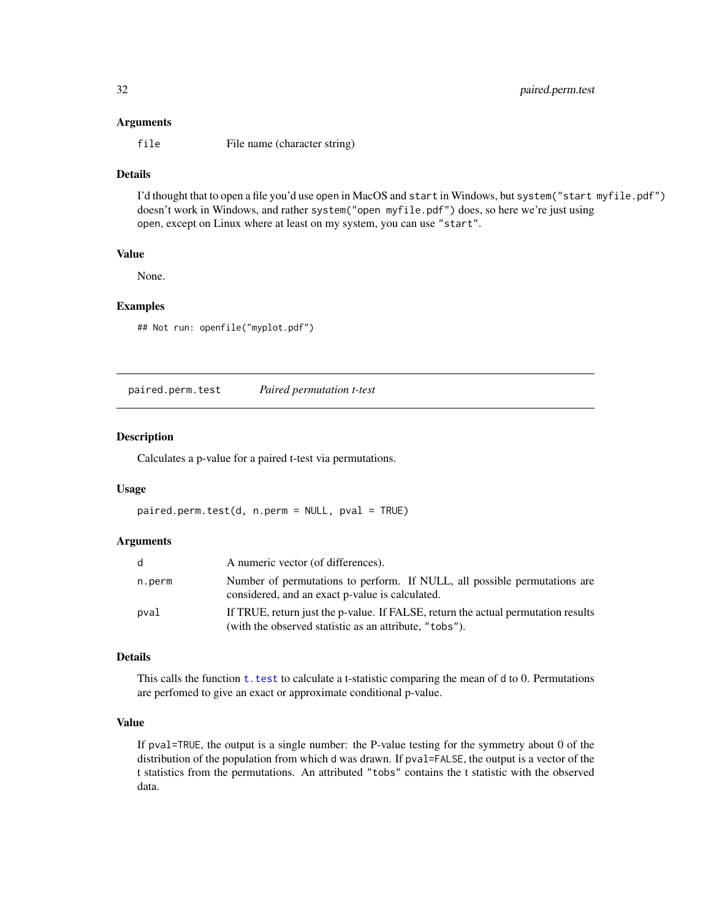#### <span id="page-31-0"></span>Arguments

file File name (character string)

# Details

I'd thought that to open a file you'd use open in MacOS and start in Windows, but system("start myfile.pdf") doesn't work in Windows, and rather system("open myfile.pdf") does, so here we're just using open, except on Linux where at least on my system, you can use "start".

#### Value

None.

# Examples

## Not run: openfile("myplot.pdf")

<span id="page-31-1"></span>paired.perm.test *Paired permutation t-test*

#### Description

Calculates a p-value for a paired t-test via permutations.

## Usage

```
paired.perm.test(d, n.perm = NULL, pval = TRUE)
```
#### Arguments

|        | A numeric vector (of differences).                                                                                                          |
|--------|---------------------------------------------------------------------------------------------------------------------------------------------|
| n.perm | Number of permutations to perform. If NULL, all possible permutations are<br>considered, and an exact p-value is calculated.                |
| pval   | If TRUE, return just the p-value. If FALSE, return the actual permutation results<br>(with the observed statistic as an attribute, "tobs"). |

#### Details

This calls the function  $t$ . test to calculate a t-statistic comparing the mean of  $d$  to 0. Permutations are perfomed to give an exact or approximate conditional p-value.

## Value

If pval=TRUE, the output is a single number: the P-value testing for the symmetry about 0 of the distribution of the population from which d was drawn. If pval=FALSE, the output is a vector of the t statistics from the permutations. An attributed "tobs" contains the t statistic with the observed data.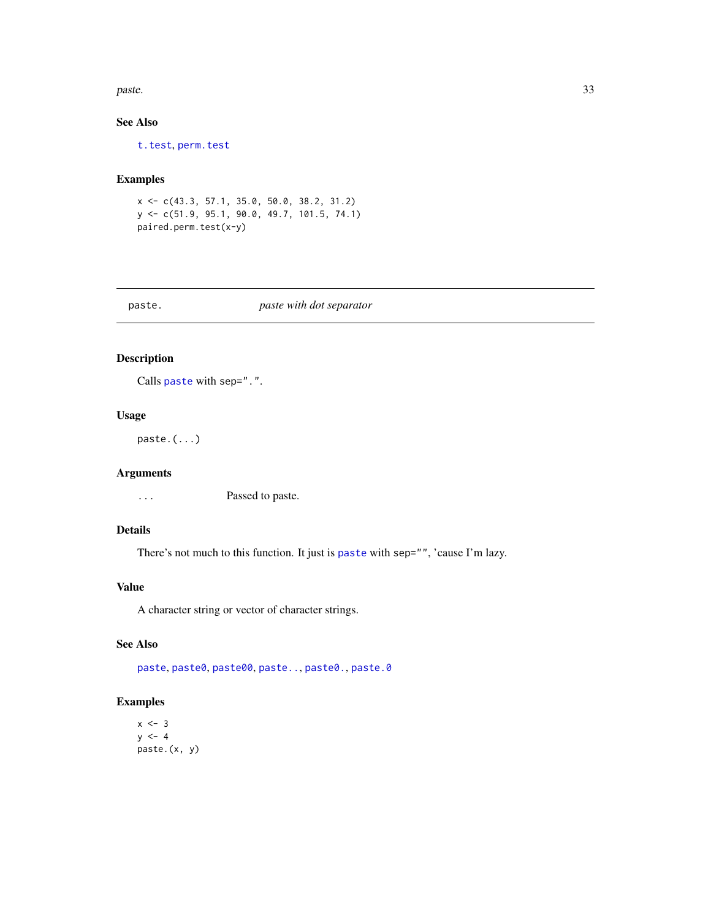<span id="page-32-0"></span>paste. 233

# See Also

[t.test](#page-0-0), [perm.test](#page-34-1)

# Examples

x <- c(43.3, 57.1, 35.0, 50.0, 38.2, 31.2) y <- c(51.9, 95.1, 90.0, 49.7, 101.5, 74.1) paired.perm.test(x-y)

<span id="page-32-1"></span>

| as |  |
|----|--|
|----|--|

# paste. *paste with dot separator*

#### Description

Calls [paste](#page-0-0) with sep=".".

# Usage

paste.(...)

# Arguments

... Passed to paste.

# Details

There's not much to this function. It just is [paste](#page-0-0) with sep="", 'cause I'm lazy.

# Value

A character string or vector of character strings.

# See Also

[paste](#page-0-0), [paste0](#page-0-0), [paste00](#page-33-1), [paste..](#page-33-2), [paste0.](#page-33-2), [paste.0](#page-33-2)

# Examples

 $x \le -3$  $y \le -4$ paste.(x, y)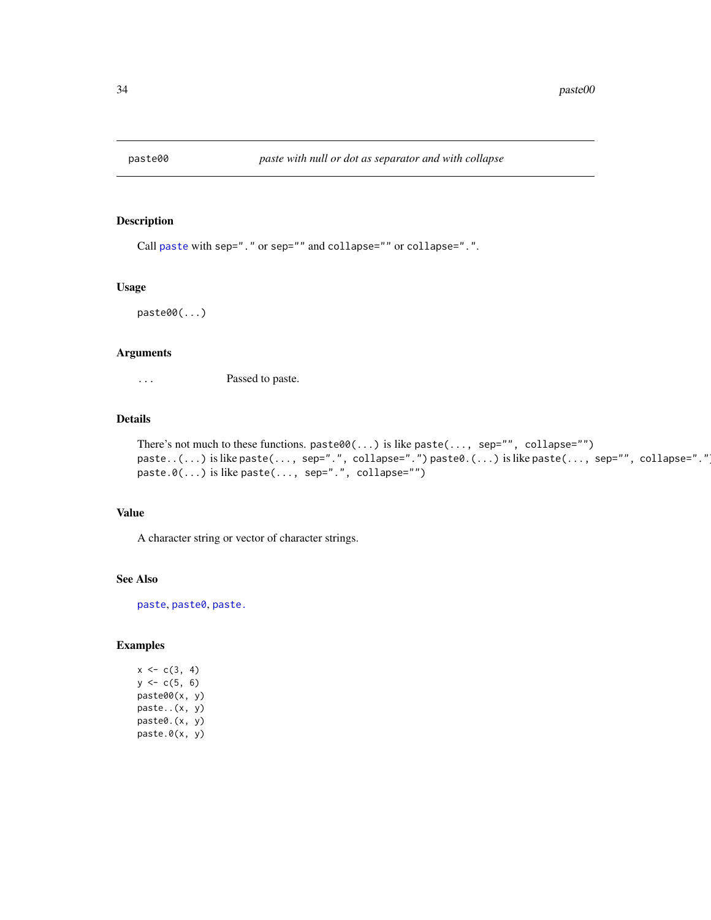<span id="page-33-2"></span><span id="page-33-1"></span><span id="page-33-0"></span>

Call [paste](#page-0-0) with sep="." or sep="" and collapse="" or collapse=".".

#### Usage

paste00(...)

## Arguments

... Passed to paste.

#### Details

```
There's not much to these functions. paste00(...) is like paste(..., sep="", collapse="")
paste..(...) is like paste(..., sep=".", collapse=".") paste0.(...) is like paste(..., sep="", collapse="."
paste.0(...) is like paste(..., sep=".", collapse="")
```
#### Value

A character string or vector of character strings.

#### See Also

[paste](#page-0-0), [paste0](#page-0-0), [paste.](#page-32-1)

# Examples

 $x \leftarrow c(3, 4)$  $y \leftarrow c(5, 6)$ paste00(x, y) paste..(x, y) paste0.(x, y) paste.0(x, y)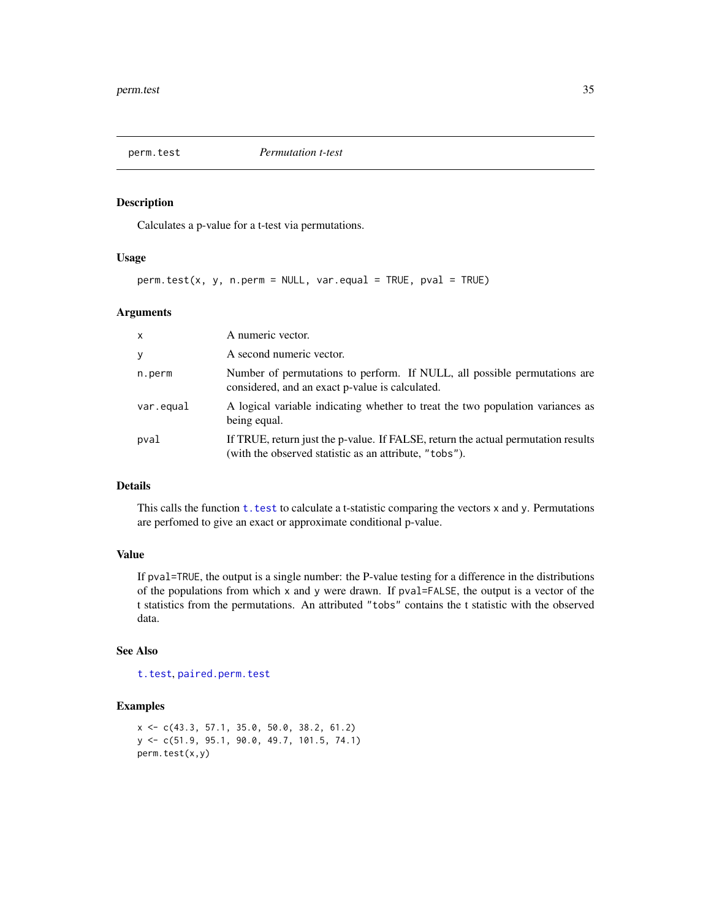<span id="page-34-1"></span><span id="page-34-0"></span>

Calculates a p-value for a t-test via permutations.

#### Usage

perm.test(x, y, n.perm = NULL, var.equal = TRUE, pval = TRUE)

## Arguments

| $\mathsf{x}$ | A numeric vector.                                                                                                                           |
|--------------|---------------------------------------------------------------------------------------------------------------------------------------------|
| y            | A second numeric vector.                                                                                                                    |
| n.perm       | Number of permutations to perform. If NULL, all possible permutations are<br>considered, and an exact p-value is calculated.                |
| var.equal    | A logical variable indicating whether to treat the two population variances as<br>being equal.                                              |
| pval         | If TRUE, return just the p-value. If FALSE, return the actual permutation results<br>(with the observed statistic as an attribute, "tobs"). |

# Details

This calls the function  $t$ . test to calculate a t-statistic comparing the vectors  $x$  and  $y$ . Permutations are perfomed to give an exact or approximate conditional p-value.

## Value

If pval=TRUE, the output is a single number: the P-value testing for a difference in the distributions of the populations from which x and y were drawn. If pval=FALSE, the output is a vector of the t statistics from the permutations. An attributed "tobs" contains the t statistic with the observed data.

## See Also

[t.test](#page-0-0), [paired.perm.test](#page-31-1)

```
x <- c(43.3, 57.1, 35.0, 50.0, 38.2, 61.2)
y <- c(51.9, 95.1, 90.0, 49.7, 101.5, 74.1)
perm.test(x,y)
```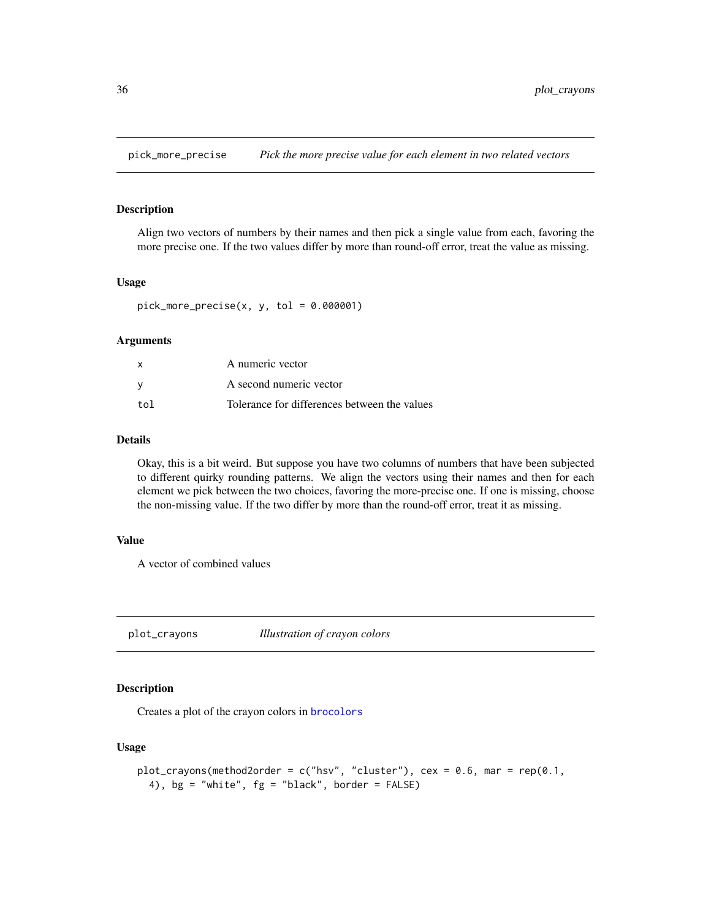<span id="page-35-0"></span>pick\_more\_precise *Pick the more precise value for each element in two related vectors*

## Description

Align two vectors of numbers by their names and then pick a single value from each, favoring the more precise one. If the two values differ by more than round-off error, treat the value as missing.

#### Usage

 $pick_more_p receives(x, y, tol = 0.000001)$ 

#### Arguments

|     | A numeric vector                             |
|-----|----------------------------------------------|
| v   | A second numeric vector                      |
| tol | Tolerance for differences between the values |

## Details

Okay, this is a bit weird. But suppose you have two columns of numbers that have been subjected to different quirky rounding patterns. We align the vectors using their names and then for each element we pick between the two choices, favoring the more-precise one. If one is missing, choose the non-missing value. If the two differ by more than the round-off error, treat it as missing.

## Value

A vector of combined values

<span id="page-35-1"></span>plot\_crayons *Illustration of crayon colors*

# Description

Creates a plot of the crayon colors in [brocolors](#page-5-1)

## Usage

```
plot_crayons(method2order = c("hsv", "cluster"), cex = 0.6, mar = rep(0.1,
  4), bg = "white", fg = "black", border = FALSE)
```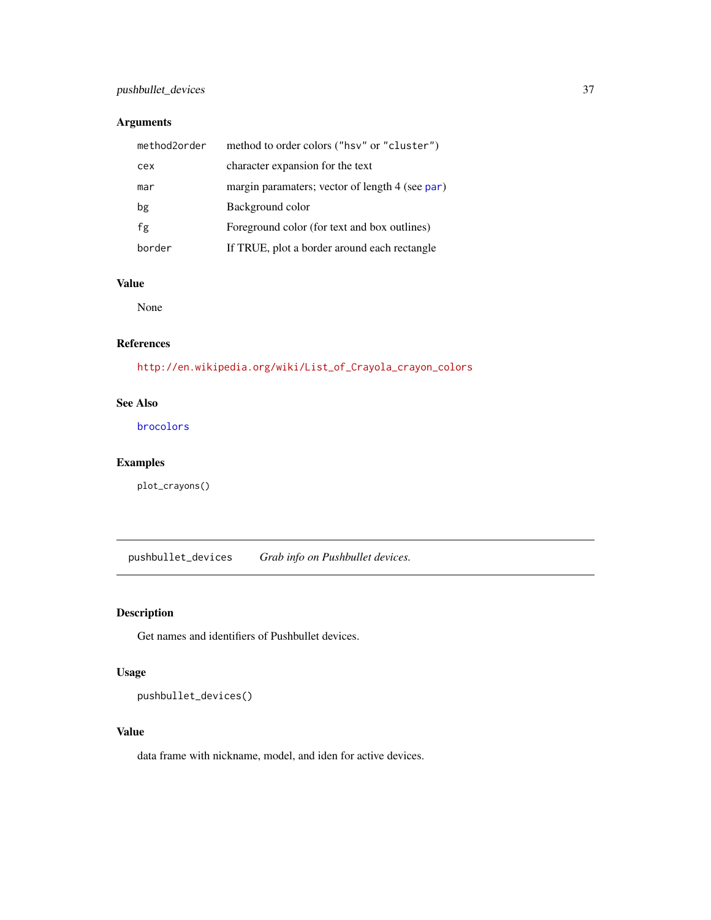# <span id="page-36-0"></span>pushbullet\_devices 37

# Arguments

| method2order | method to order colors ("hsv" or "cluster")     |
|--------------|-------------------------------------------------|
| cex          | character expansion for the text                |
| mar          | margin paramaters; vector of length 4 (see par) |
| bg           | Background color                                |
| fg           | Foreground color (for text and box outlines)    |
| border       | If TRUE, plot a border around each rectangle    |

# Value

None

## References

[http://en.wikipedia.org/wiki/List\\_of\\_Crayola\\_crayon\\_colors](http://en.wikipedia.org/wiki/List_of_Crayola_crayon_colors)

# See Also

[brocolors](#page-5-1)

# Examples

plot\_crayons()

pushbullet\_devices *Grab info on Pushbullet devices.*

# Description

Get names and identifiers of Pushbullet devices.

# Usage

pushbullet\_devices()

# Value

data frame with nickname, model, and iden for active devices.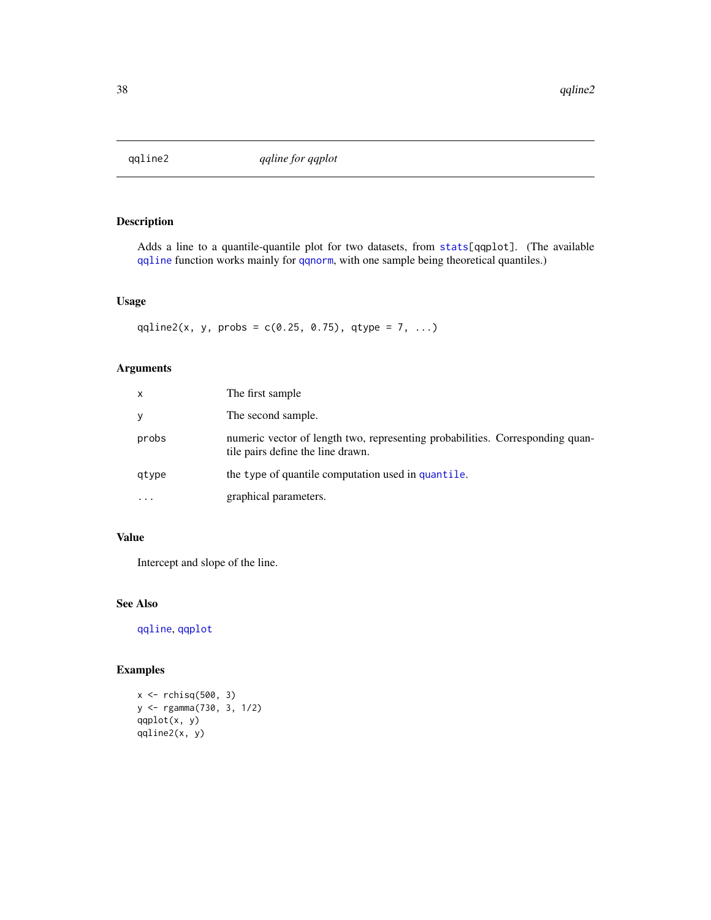<span id="page-37-0"></span>

Adds a line to a quantile-quantile plot for two datasets, from [stats\[](#page-0-0)qqplot]. (The available [qqline](#page-0-0) function works mainly for [qqnorm](#page-0-0), with one sample being theoretical quantiles.)

# Usage

qqline2(x, y, probs =  $c(0.25, 0.75)$ , qtype = 7, ...)

# Arguments

| x         | The first sample                                                                                                   |
|-----------|--------------------------------------------------------------------------------------------------------------------|
|           | The second sample.                                                                                                 |
| probs     | numeric vector of length two, representing probabilities. Corresponding quan-<br>tile pairs define the line drawn. |
| qtype     | the type of quantile computation used in quantile.                                                                 |
| $\ddotsc$ | graphical parameters.                                                                                              |

# Value

Intercept and slope of the line.

### See Also

[qqline](#page-0-0), [qqplot](#page-0-0)

```
x \leftarrow rchisq(500, 3)
y <- rgamma(730, 3, 1/2)
qqplot(x, y)
qqline2(x, y)
```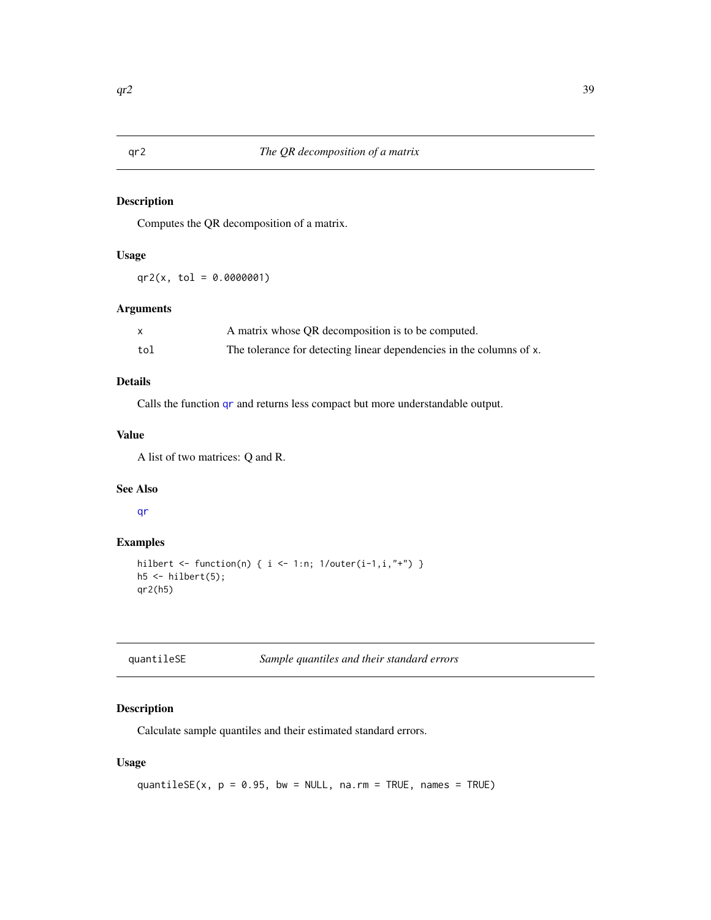<span id="page-38-0"></span>Computes the QR decomposition of a matrix.

# Usage

 $qr2(x, tol = 0.0000001)$ 

## Arguments

|     | A matrix whose QR decomposition is to be computed.                   |
|-----|----------------------------------------------------------------------|
| tol | The tolerance for detecting linear dependencies in the columns of x. |

# Details

Calls the function [qr](#page-0-0) and returns less compact but more understandable output.

## Value

A list of two matrices: Q and R.

# See Also

[qr](#page-0-0)

# Examples

```
hilbert <- function(n) { i <- 1:n; 1/outer(i-1,i,"+") }
h5 \leq hilbert(5);
qr2(h5)
```

| quantileSE | Sample quantiles and their standard errors |  |
|------------|--------------------------------------------|--|
|------------|--------------------------------------------|--|

# Description

Calculate sample quantiles and their estimated standard errors.

# Usage

```
quantileSE(x, p = 0.95, bw = NULL, na.rm = TRUE, names = TRUE)
```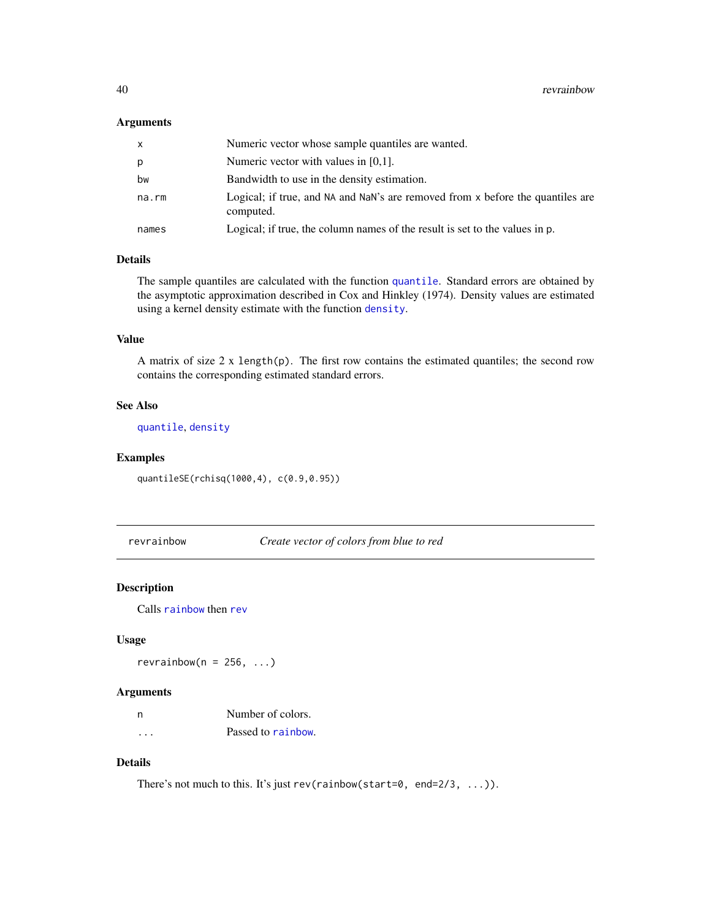#### <span id="page-39-0"></span>Arguments

| x     | Numeric vector whose sample quantiles are wanted.                                           |
|-------|---------------------------------------------------------------------------------------------|
| p     | Numeric vector with values in $[0,1]$ .                                                     |
| bw    | Bandwidth to use in the density estimation.                                                 |
| na.rm | Logical; if true, and NA and NaN's are removed from x before the quantiles are<br>computed. |
| names | Logical; if true, the column names of the result is set to the values in p.                 |

## Details

The sample [quantile](#page-0-0)s are calculated with the function quantile. Standard errors are obtained by the asymptotic approximation described in Cox and Hinkley (1974). Density values are estimated using a kernel density estimate with the function [density](#page-0-0).

# Value

A matrix of size  $2 \times \text{length}(p)$ . The first row contains the estimated quantiles; the second row contains the corresponding estimated standard errors.

# See Also

[quantile](#page-0-0), [density](#page-0-0)

#### Examples

quantileSE(rchisq(1000,4), c(0.9,0.95))

revrainbow *Create vector of colors from blue to red*

# Description

Calls [rainbow](#page-0-0) then [rev](#page-0-0)

#### Usage

revrainbow( $n = 256, ...$ )

#### Arguments

| n        | Number of colors.  |
|----------|--------------------|
| $\cdots$ | Passed to rainbow. |

# Details

There's not much to this. It's just rev(rainbow(start=0, end=2/3, ...)).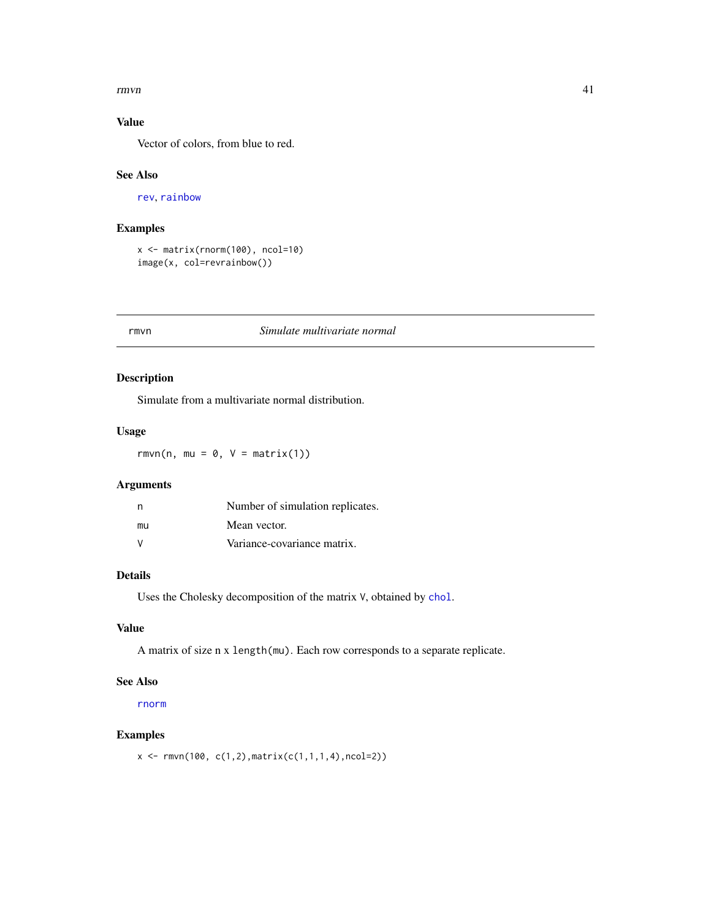#### <span id="page-40-0"></span> $r_{\rm{H}}$  and  $r_{\rm{H}}$  and  $r_{\rm{H}}$  and  $r_{\rm{H}}$  and  $r_{\rm{H}}$  and  $r_{\rm{H}}$  and  $r_{\rm{H}}$  and  $r_{\rm{H}}$  and  $r_{\rm{H}}$  and  $r_{\rm{H}}$  and  $r_{\rm{H}}$  and  $r_{\rm{H}}$  and  $r_{\rm{H}}$  and  $r_{\rm{H}}$  and  $r_{\rm{H}}$  and  $r_{\rm{H}}$  a

# Value

Vector of colors, from blue to red.

# See Also

[rev](#page-0-0), [rainbow](#page-0-0)

# Examples

```
x <- matrix(rnorm(100), ncol=10)
image(x, col=revrainbow())
```
#### rmvn *Simulate multivariate normal*

# Description

Simulate from a multivariate normal distribution.

# Usage

 $rmvn(n, mu = 0, V = matrix(1))$ 

# Arguments

| n             | Number of simulation replicates. |
|---------------|----------------------------------|
| mu            | Mean vector.                     |
| $\mathcal{N}$ | Variance-covariance matrix.      |

# Details

Uses the Cholesky decomposition of the matrix V, obtained by [chol](#page-0-0).

#### Value

A matrix of size n x length(mu). Each row corresponds to a separate replicate.

# See Also

[rnorm](#page-0-0)

# Examples

 $x \leq -r$ mvn(100, c(1,2),matrix(c(1,1,1,4),ncol=2))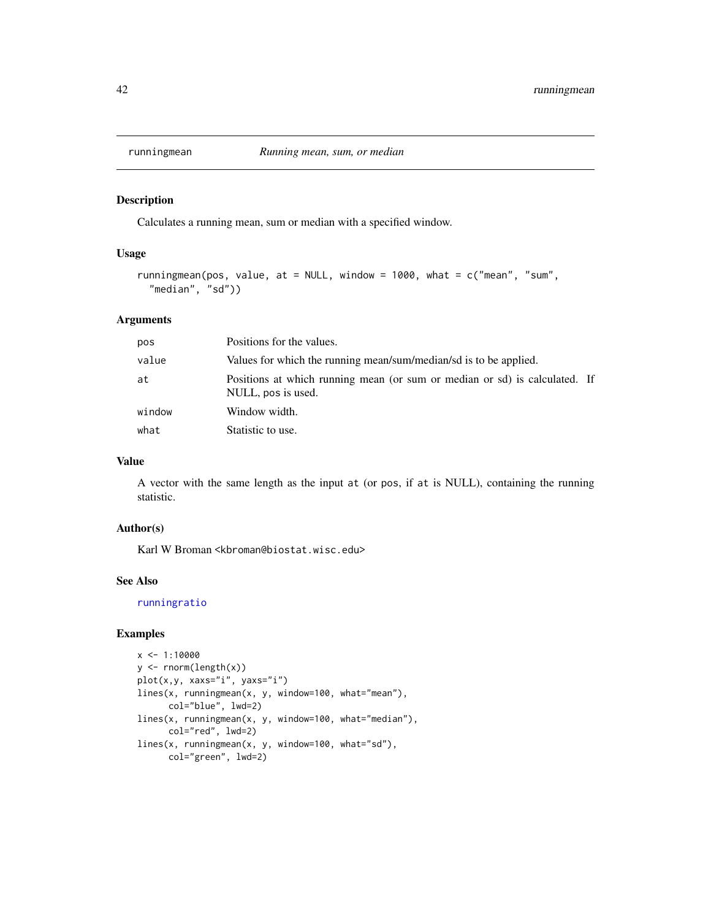<span id="page-41-1"></span><span id="page-41-0"></span>

Calculates a running mean, sum or median with a specified window.

#### Usage

```
runningmean(pos, value, at = NULL, window = 1000, what = c("mean", "sum",
  "median", "sd"))
```
## Arguments

| pos    | Positions for the values.                                                                        |  |
|--------|--------------------------------------------------------------------------------------------------|--|
| value  | Values for which the running mean/sum/median/sd is to be applied.                                |  |
| at     | Positions at which running mean (or sum or median or sd) is calculated. If<br>NULL, pos is used. |  |
| window | Window width.                                                                                    |  |
| what   | Statistic to use.                                                                                |  |

## Value

A vector with the same length as the input at (or pos, if at is NULL), containing the running statistic.

#### Author(s)

Karl W Broman <kbroman@biostat.wisc.edu>

## See Also

[runningratio](#page-42-1)

```
x \le -1:10000y <- rnorm(length(x))
plot(x,y, xaxs="i", yaxs="i")
lines(x, runningmean(x, y, window=100, what="mean"),
      col="blue", lwd=2)
lines(x, runningmean(x, y, window=100, what="median"),
      col="red", lwd=2)
lines(x, runningmean(x, y, window=100, what="sd"),
      col="green", lwd=2)
```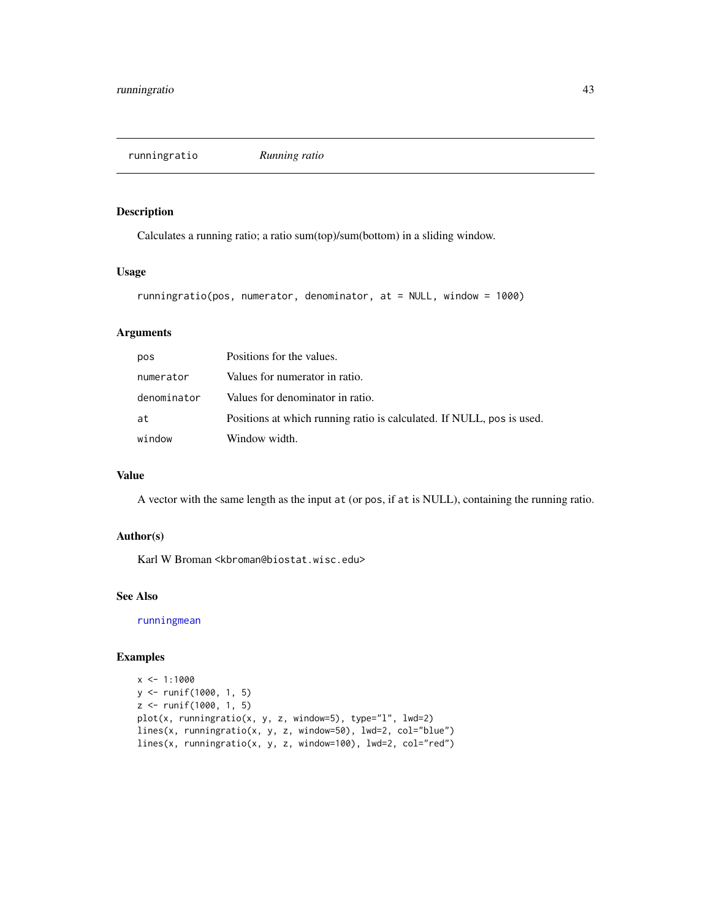<span id="page-42-1"></span><span id="page-42-0"></span>runningratio *Running ratio*

# Description

Calculates a running ratio; a ratio sum(top)/sum(bottom) in a sliding window.

#### Usage

```
runningratio(pos, numerator, denominator, at = NULL, window = 1000)
```
# Arguments

| pos         | Positions for the values.                                             |
|-------------|-----------------------------------------------------------------------|
| numerator   | Values for numerator in ratio.                                        |
| denominator | Values for denominator in ratio.                                      |
| at          | Positions at which running ratio is calculated. If NULL, pos is used. |
| window      | Window width.                                                         |

#### Value

A vector with the same length as the input at (or pos, if at is NULL), containing the running ratio.

# Author(s)

Karl W Broman <kbroman@biostat.wisc.edu>

# See Also

[runningmean](#page-41-1)

```
x \le -1:1000y <- runif(1000, 1, 5)
z <- runif(1000, 1, 5)
plot(x, runningratio(x, y, z, window=5), type="l", lwd=2)
lines(x, runningratio(x, y, z, window=50), lwd=2, col="blue")
lines(x, runningratio(x, y, z, window=100), lwd=2, col="red")
```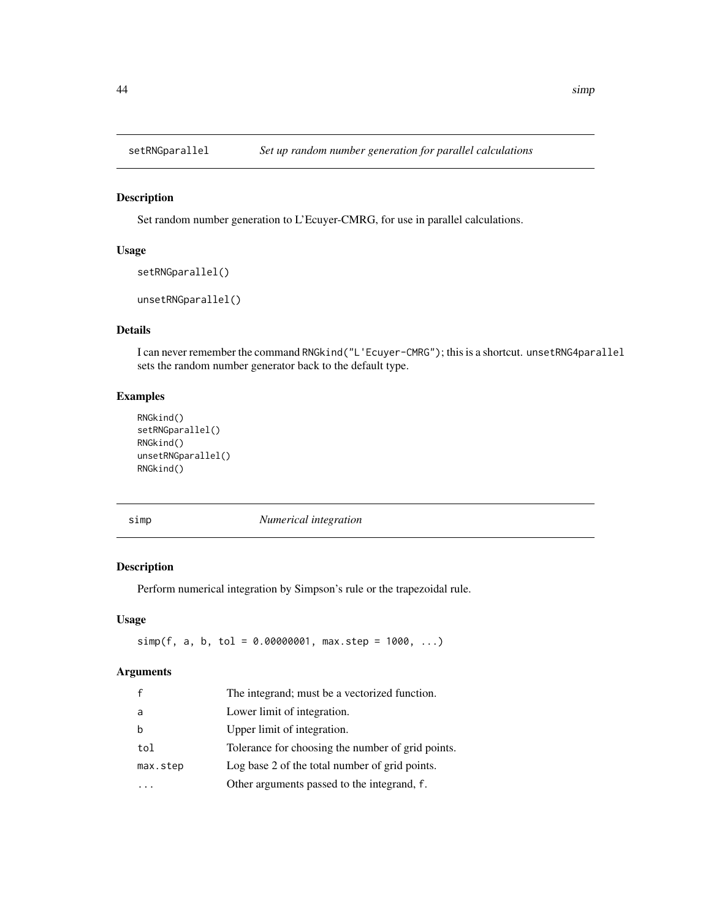<span id="page-43-0"></span>

Set random number generation to L'Ecuyer-CMRG, for use in parallel calculations.

# Usage

```
setRNGparallel()
```
unsetRNGparallel()

# Details

I can never remember the command RNGkind("L'Ecuyer-CMRG"); this is a shortcut. unsetRNG4parallel sets the random number generator back to the default type.

# Examples

```
RNGkind()
setRNGparallel()
RNGkind()
unsetRNGparallel()
RNGkind()
```
simp *Numerical integration*

## Description

Perform numerical integration by Simpson's rule or the trapezoidal rule.

# Usage

 $simp(f, a, b, tol = 0.00000001, max.step = 1000, ...)$ 

# Arguments

| The integrand; must be a vectorized function.     |
|---------------------------------------------------|
| Lower limit of integration.                       |
| Upper limit of integration.                       |
| Tolerance for choosing the number of grid points. |
| Log base 2 of the total number of grid points.    |
| Other arguments passed to the integrand, f.       |
|                                                   |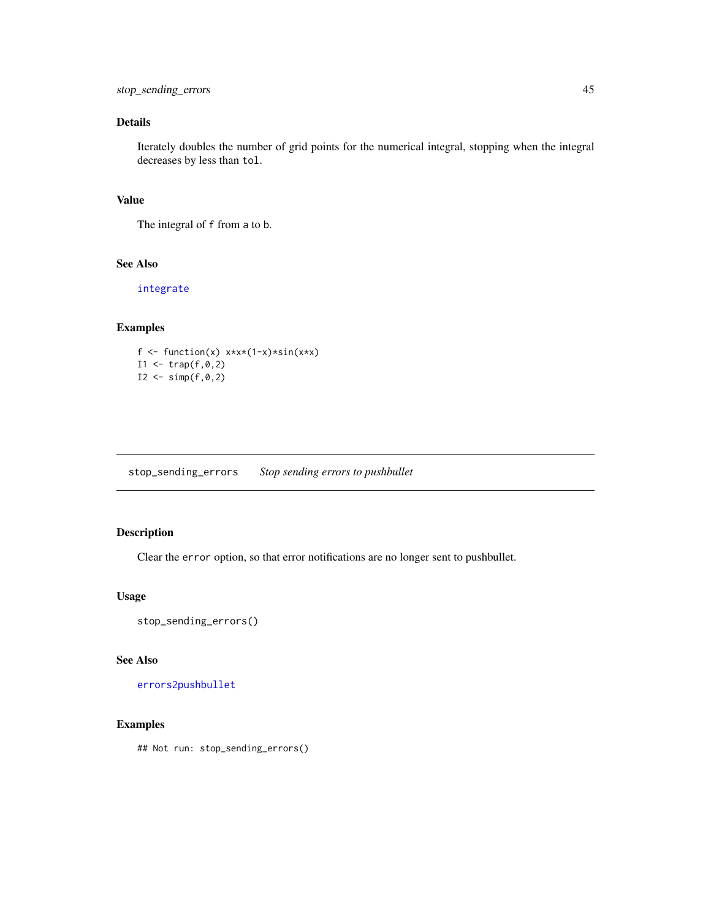# <span id="page-44-0"></span>Details

Iterately doubles the number of grid points for the numerical integral, stopping when the integral decreases by less than tol.

## Value

The integral of f from a to b.

# See Also

[integrate](#page-0-0)

## Examples

```
f \leftarrow function(x) x \times x \times (1-x) \times \sin(x \times x)I1 < - \text{trap}(f, \emptyset, 2)I2 \le - \text{simp}(f, \emptyset, 2)
```
<span id="page-44-1"></span>stop\_sending\_errors *Stop sending errors to pushbullet*

# Description

Clear the error option, so that error notifications are no longer sent to pushbullet.

#### Usage

stop\_sending\_errors()

#### See Also

[errors2pushbullet](#page-12-1)

## Examples

## Not run: stop\_sending\_errors()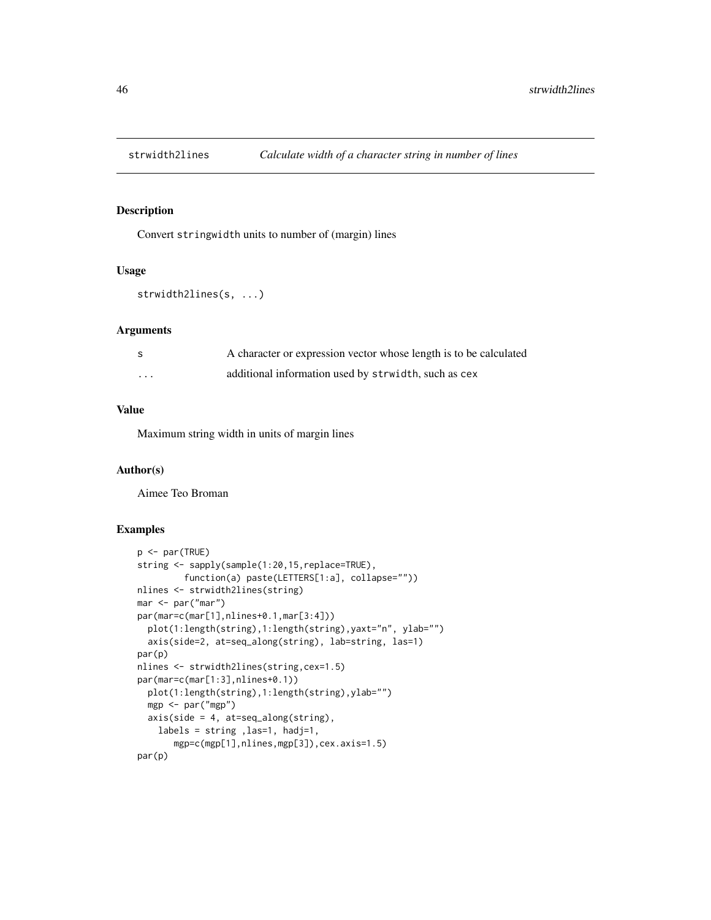<span id="page-45-0"></span>

Convert stringwidth units to number of (margin) lines

#### Usage

```
strwidth2lines(s, ...)
```
#### Arguments

| - S      | A character or expression vector whose length is to be calculated |
|----------|-------------------------------------------------------------------|
| $\cdots$ | additional information used by strwidth, such as cex              |

# Value

Maximum string width in units of margin lines

# Author(s)

Aimee Teo Broman

```
p <- par(TRUE)
string <- sapply(sample(1:20,15,replace=TRUE),
        function(a) paste(LETTERS[1:a], collapse=""))
nlines <- strwidth2lines(string)
mar <- par("mar")
par(mar=c(mar[1],nlines+0.1,mar[3:4]))
  plot(1:length(string),1:length(string),yaxt="n", ylab="")
  axis(side=2, at=seq_along(string), lab=string, las=1)
par(p)
nlines <- strwidth2lines(string,cex=1.5)
par(mar=c(mar[1:3],nlines+0.1))
  plot(1:length(string),1:length(string),ylab="")
  mgp <- par("mgp")
  axis(side = 4, at=seq_along(string),
    labels = string ,las=1, hadj=1,
       mgp=c(mgp[1],nlines,mgp[3]),cex.axis=1.5)
par(p)
```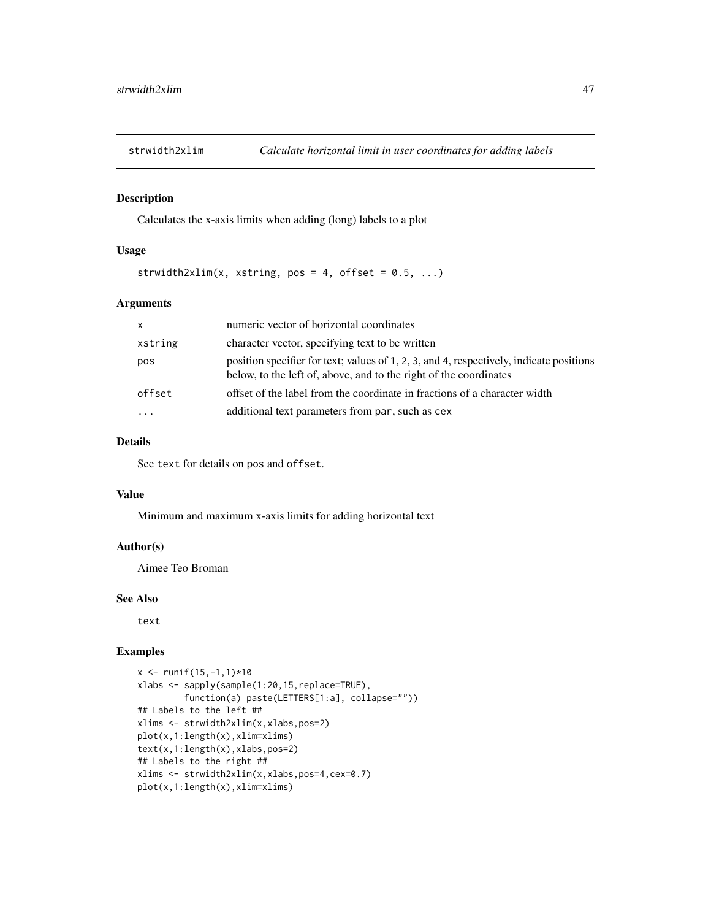<span id="page-46-0"></span>

Calculates the x-axis limits when adding (long) labels to a plot

#### Usage

strwidth2xlim(x, xstring, pos = 4, offset =  $0.5, ...$ )

#### Arguments

| $\mathsf{x}$ | numeric vector of horizontal coordinates                                                                                                                     |
|--------------|--------------------------------------------------------------------------------------------------------------------------------------------------------------|
| xstring      | character vector, specifying text to be written                                                                                                              |
| pos          | position specifier for text; values of 1, 2, 3, and 4, respectively, indicate positions<br>below, to the left of, above, and to the right of the coordinates |
| offset       | offset of the label from the coordinate in fractions of a character width                                                                                    |
|              | additional text parameters from par, such as cex                                                                                                             |

# Details

See text for details on pos and offset.

#### Value

Minimum and maximum x-axis limits for adding horizontal text

# Author(s)

Aimee Teo Broman

## See Also

text

```
x \le - runif(15,-1,1)*10
xlabs <- sapply(sample(1:20,15,replace=TRUE),
         function(a) paste(LETTERS[1:a], collapse=""))
## Labels to the left ##
xlims <- strwidth2xlim(x,xlabs,pos=2)
plot(x,1:length(x),xlim=xlims)
text(x,1:length(x),xlabs,pos=2)
## Labels to the right ##
xlims <- strwidth2xlim(x,xlabs,pos=4,cex=0.7)
plot(x,1:length(x),xlim=xlims)
```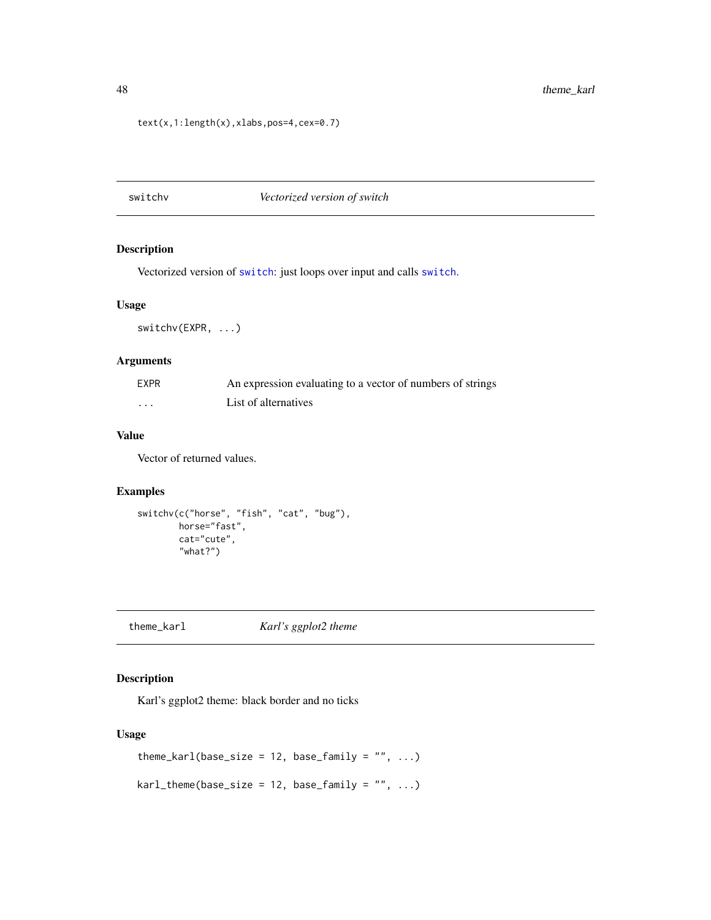```
text(x,1:length(x),xlabs,pos=4,cex=0.7)
```
switchv *Vectorized version of switch*

# Description

Vectorized version of [switch](#page-0-0): just loops over input and calls [switch](#page-0-0).

# Usage

switchv(EXPR, ...)

## Arguments

| EXPR     | An expression evaluating to a vector of numbers of strings |
|----------|------------------------------------------------------------|
| $\cdots$ | List of alternatives                                       |

# Value

Vector of returned values.

# Examples

```
switchv(c("horse", "fish", "cat", "bug"),
       horse="fast",
       cat="cute",
        "what?")
```
theme\_karl *Karl's ggplot2 theme*

# Description

Karl's ggplot2 theme: black border and no ticks

# Usage

```
theme_karl(base_size = 12, base_family = ", ...)
kar1<sub>_theme</sub>(base_size = 12, base_family = "", ...)
```
<span id="page-47-0"></span>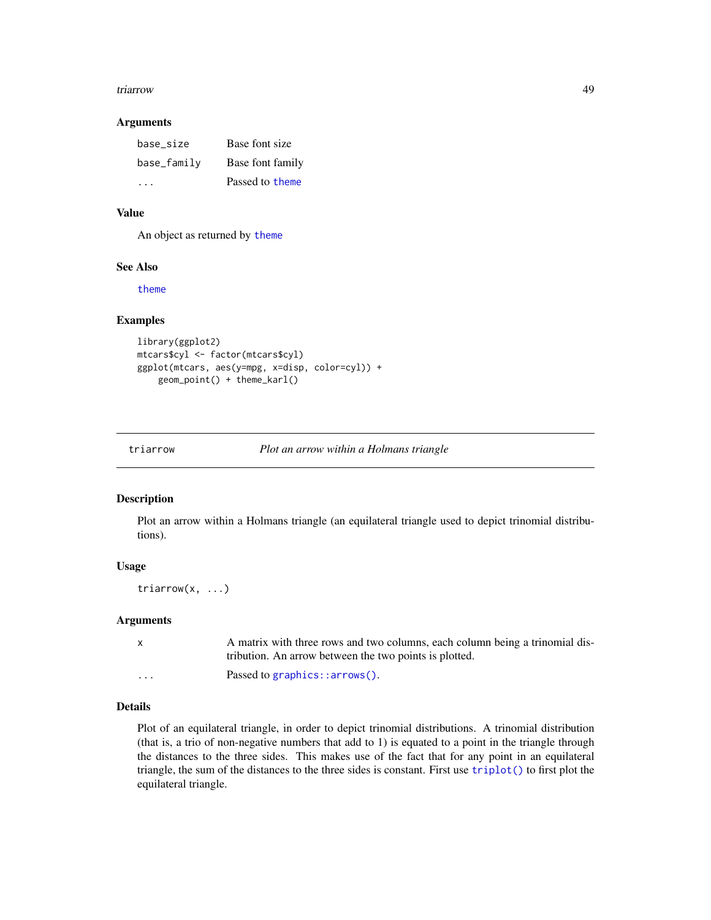#### <span id="page-48-0"></span>triarrow that the contract of the contract of the contract of the contract of the contract of the contract of the contract of the contract of the contract of the contract of the contract of the contract of the contract of

#### Arguments

| base size   | Base font size   |
|-------------|------------------|
| base_family | Base font family |
|             | Passed to theme  |

# Value

An object as returned by [theme](#page-0-0)

## See Also

[theme](#page-0-0)

# Examples

```
library(ggplot2)
mtcars$cyl <- factor(mtcars$cyl)
ggplot(mtcars, aes(y=mpg, x=disp, color=cyl)) +
    geom_point() + theme_karl()
```
<span id="page-48-1"></span>triarrow *Plot an arrow within a Holmans triangle*

# Description

Plot an arrow within a Holmans triangle (an equilateral triangle used to depict trinomial distributions).

## Usage

triarrow(x, ...)

## Arguments

| $\mathbf{x}$ | A matrix with three rows and two columns, each column being a trinomial dis- |
|--------------|------------------------------------------------------------------------------|
|              | tribution. An arrow between the two points is plotted.                       |
| $\cdots$     | Passed to graphics:: $arrow()$ .                                             |

# Details

Plot of an equilateral triangle, in order to depict trinomial distributions. A trinomial distribution (that is, a trio of non-negative numbers that add to 1) is equated to a point in the triangle through the distances to the three sides. This makes use of the fact that for any point in an equilateral triangle, the sum of the distances to the three sides is constant. First use [triplot\(\)](#page-50-1) to first plot the equilateral triangle.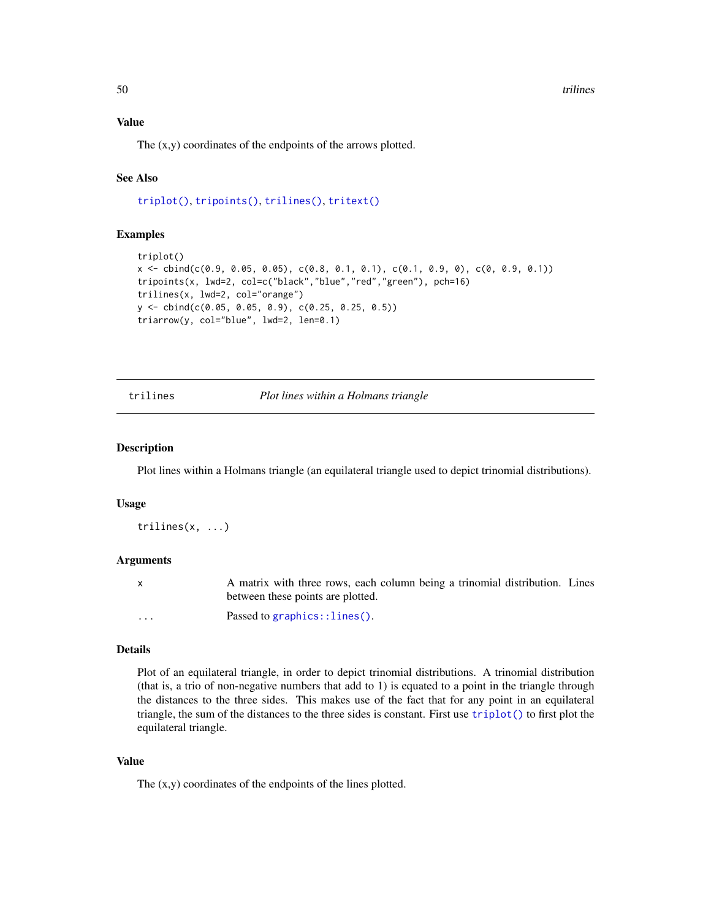<span id="page-49-0"></span>50 trilines and the contract of the contract of the contract of the contract of the contract of the contract of the contract of the contract of the contract of the contract of the contract of the contract of the contract o

# Value

The (x,y) coordinates of the endpoints of the arrows plotted.

# See Also

[triplot\(\)](#page-50-1), [tripoints\(\)](#page-51-1), [trilines\(\)](#page-49-1), [tritext\(\)](#page-52-1)

## Examples

```
triplot()
x <- cbind(c(0.9, 0.05, 0.05), c(0.8, 0.1, 0.1), c(0.1, 0.9, 0), c(0, 0.9, 0.1))
tripoints(x, lwd=2, col=c("black","blue","red","green"), pch=16)
trilines(x, lwd=2, col="orange")
y <- cbind(c(0.05, 0.05, 0.9), c(0.25, 0.25, 0.5))
triarrow(y, col="blue", lwd=2, len=0.1)
```
<span id="page-49-1"></span>trilines *Plot lines within a Holmans triangle*

#### Description

Plot lines within a Holmans triangle (an equilateral triangle used to depict trinomial distributions).

## Usage

trilines(x, ...)

#### Arguments

x A matrix with three rows, each column being a trinomial distribution. Lines between these points are plotted.

... Passed to [graphics::lines\(\)](#page-0-0).

#### Details

Plot of an equilateral triangle, in order to depict trinomial distributions. A trinomial distribution (that is, a trio of non-negative numbers that add to 1) is equated to a point in the triangle through the distances to the three sides. This makes use of the fact that for any point in an equilateral triangle, the sum of the distances to the three sides is constant. First use [triplot\(\)](#page-50-1) to first plot the equilateral triangle.

# Value

The (x,y) coordinates of the endpoints of the lines plotted.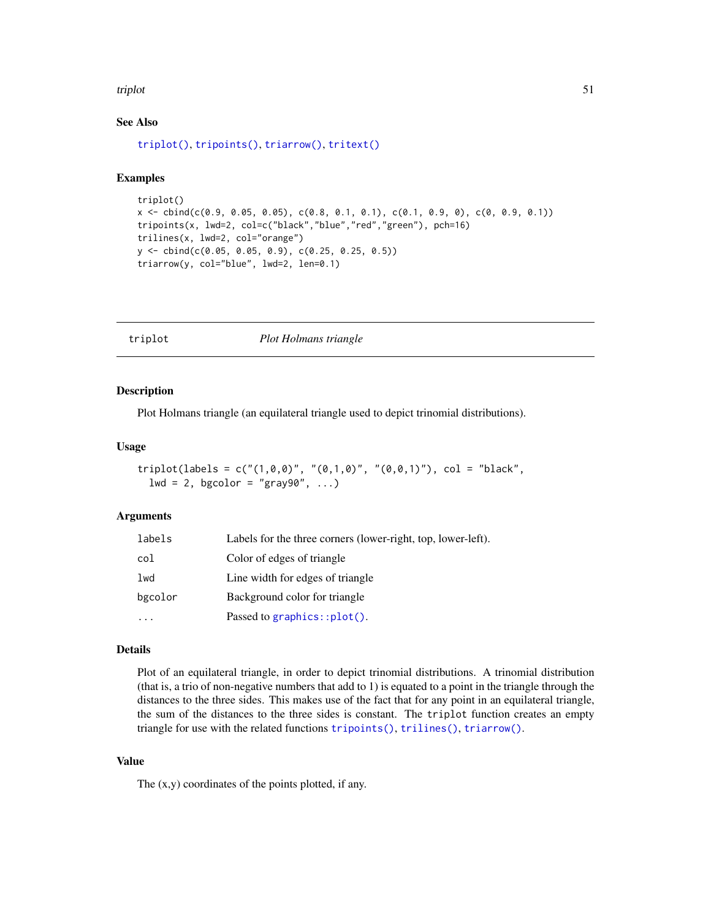#### <span id="page-50-0"></span>triplot 51

# See Also

[triplot\(\)](#page-50-1), [tripoints\(\)](#page-51-1), [triarrow\(\)](#page-48-1), [tritext\(\)](#page-52-1)

# Examples

```
triplot()
x \leftarrow \text{cbind}(c(0.9, 0.05, 0.05), c(0.8, 0.1, 0.1), c(0.1, 0.9, 0), c(0, 0.9, 0.1))tripoints(x, lwd=2, col=c("black","blue","red","green"), pch=16)
trilines(x, lwd=2, col="orange")
y <- cbind(c(0.05, 0.05, 0.9), c(0.25, 0.25, 0.5))
triarrow(y, col="blue", lwd=2, len=0.1)
```
<span id="page-50-1"></span>triplot *Plot Holmans triangle*

#### Description

Plot Holmans triangle (an equilateral triangle used to depict trinomial distributions).

#### Usage

```
triplot(labels = c("(1,0,0)", "(0,1,0)", "(0,0,1)"), col = "black",
  lwd = 2, bgcolor = "gray90", ...)
```
# Arguments

| labels   | Labels for the three corners (lower-right, top, lower-left). |
|----------|--------------------------------------------------------------|
| col      | Color of edges of triangle                                   |
| lwd      | Line width for edges of triangle                             |
| bgcolor  | Background color for triangle                                |
| $\cdots$ | Passed to graphics:: $plot()$ .                              |

#### Details

Plot of an equilateral triangle, in order to depict trinomial distributions. A trinomial distribution (that is, a trio of non-negative numbers that add to 1) is equated to a point in the triangle through the distances to the three sides. This makes use of the fact that for any point in an equilateral triangle, the sum of the distances to the three sides is constant. The triplot function creates an empty triangle for use with the related functions [tripoints\(\)](#page-51-1), [trilines\(\)](#page-49-1), [triarrow\(\)](#page-48-1).

# Value

The (x,y) coordinates of the points plotted, if any.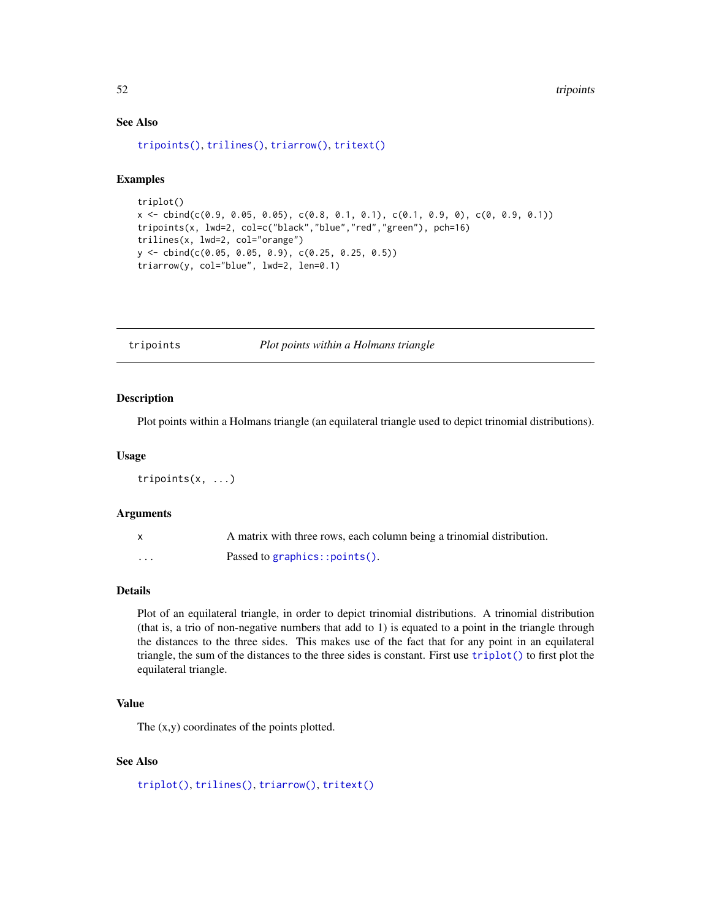# See Also

```
tripoints(), trilines(), triarrow(), tritext()
```
# Examples

```
triplot()
x \leq cbind(c(0.9, 0.05, 0.05), c(0.8, 0.1, 0.1), c(0.1, 0.9, 0), c(0, 0.9, 0.1))
tripoints(x, lwd=2, col=c("black","blue","red","green"), pch=16)
trilines(x, lwd=2, col="orange")
y <- cbind(c(0.05, 0.05, 0.9), c(0.25, 0.25, 0.5))
triarrow(y, col="blue", lwd=2, len=0.1)
```
<span id="page-51-1"></span>tripoints *Plot points within a Holmans triangle*

#### Description

Plot points within a Holmans triangle (an equilateral triangle used to depict trinomial distributions).

#### Usage

tripoints(x, ...)

#### Arguments

|   | A matrix with three rows, each column being a trinomial distribution. |
|---|-----------------------------------------------------------------------|
| . | Passed to graphics:: $points()$ .                                     |

#### Details

Plot of an equilateral triangle, in order to depict trinomial distributions. A trinomial distribution (that is, a trio of non-negative numbers that add to 1) is equated to a point in the triangle through the distances to the three sides. This makes use of the fact that for any point in an equilateral triangle, the sum of the distances to the three sides is constant. First use [triplot\(\)](#page-50-1) to first plot the equilateral triangle.

# Value

The (x,y) coordinates of the points plotted.

# See Also

```
triplot(), trilines(), triarrow(), tritext()
```
<span id="page-51-0"></span>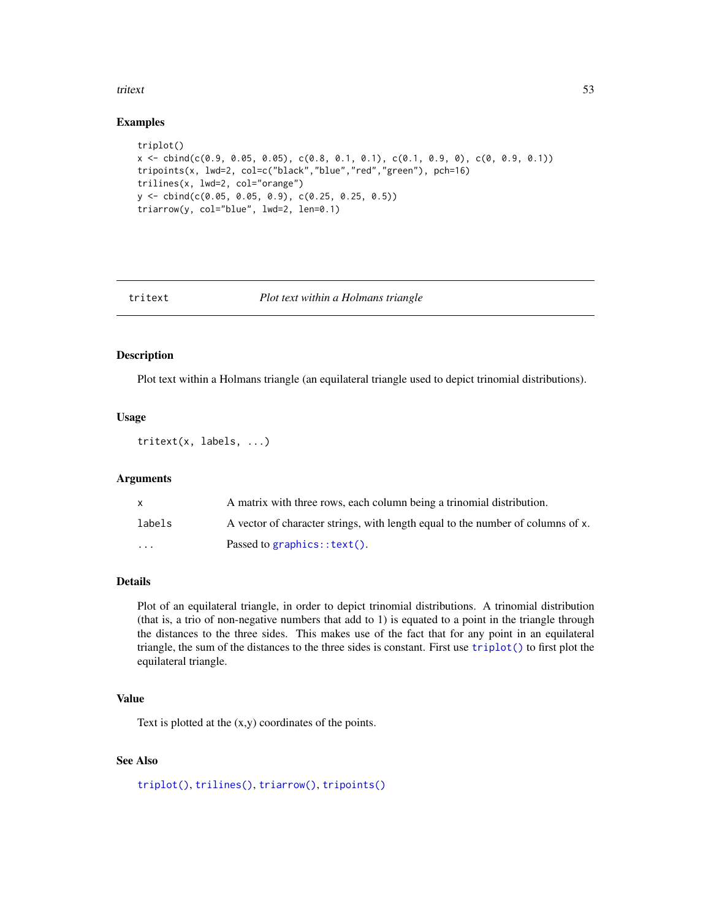#### <span id="page-52-0"></span>tritext 53

#### Examples

```
triplot()
x <- cbind(c(0.9, 0.05, 0.05), c(0.8, 0.1, 0.1), c(0.1, 0.9, 0), c(0, 0.9, 0.1))
tripoints(x, lwd=2, col=c("black","blue","red","green"), pch=16)
trilines(x, lwd=2, col="orange")
y <- cbind(c(0.05, 0.05, 0.9), c(0.25, 0.25, 0.5))
triarrow(y, col="blue", lwd=2, len=0.1)
```
<span id="page-52-1"></span>

#### tritext *Plot text within a Holmans triangle*

#### Description

Plot text within a Holmans triangle (an equilateral triangle used to depict trinomial distributions).

#### Usage

tritext(x, labels, ...)

# Arguments

|         | A matrix with three rows, each column being a trinomial distribution.           |
|---------|---------------------------------------------------------------------------------|
| labels  | A vector of character strings, with length equal to the number of columns of x. |
| $\cdot$ | Passed to graphics:: $text()$ .                                                 |

## Details

Plot of an equilateral triangle, in order to depict trinomial distributions. A trinomial distribution (that is, a trio of non-negative numbers that add to 1) is equated to a point in the triangle through the distances to the three sides. This makes use of the fact that for any point in an equilateral triangle, the sum of the distances to the three sides is constant. First use [triplot\(\)](#page-50-1) to first plot the equilateral triangle.

#### Value

Text is plotted at the (x,y) coordinates of the points.

# See Also

```
triplot(), trilines(), triarrow(), tripoints()
```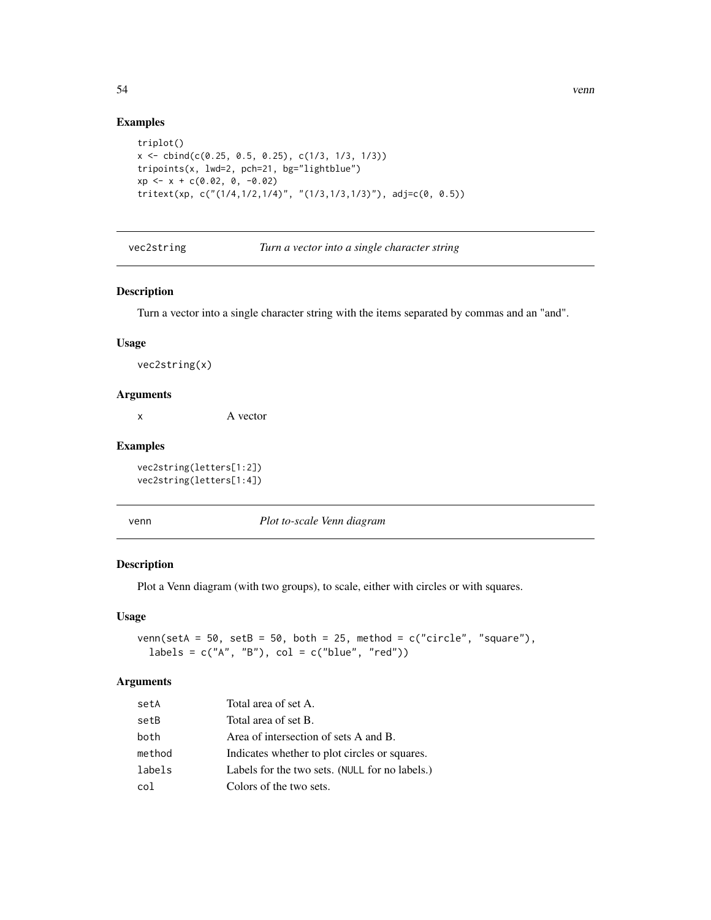# Examples

```
triplot()
x \le cbind(c(0.25, 0.5, 0.25), c(1/3, 1/3, 1/3))
tripoints(x, lwd=2, pch=21, bg="lightblue")
xp \leftarrow x + c(0.02, 0, -0.02)tritext(xp, c("(1/4,1/2,1/4)", "(1/3,1/3,1/3)"), adj=c(0, 0.5))
```
vec2string *Turn a vector into a single character string*

#### Description

Turn a vector into a single character string with the items separated by commas and an "and".

#### Usage

vec2string(x)

#### Arguments

x A vector

#### Examples

vec2string(letters[1:2]) vec2string(letters[1:4])

venn *Plot to-scale Venn diagram*

# Description

Plot a Venn diagram (with two groups), to scale, either with circles or with squares.

#### Usage

venn(setA =  $50$ , setB =  $50$ , both =  $25$ , method =  $c("circle", "square"),$ labels =  $c("A", "B")$ ,  $col = c("blue", "red")$ 

#### Arguments

| setA   | Total area of set A.                           |
|--------|------------------------------------------------|
| setB   | Total area of set B.                           |
| both   | Area of intersection of sets A and B.          |
| method | Indicates whether to plot circles or squares.  |
| labels | Labels for the two sets. (NULL for no labels.) |
| col    | Colors of the two sets.                        |

<span id="page-53-0"></span>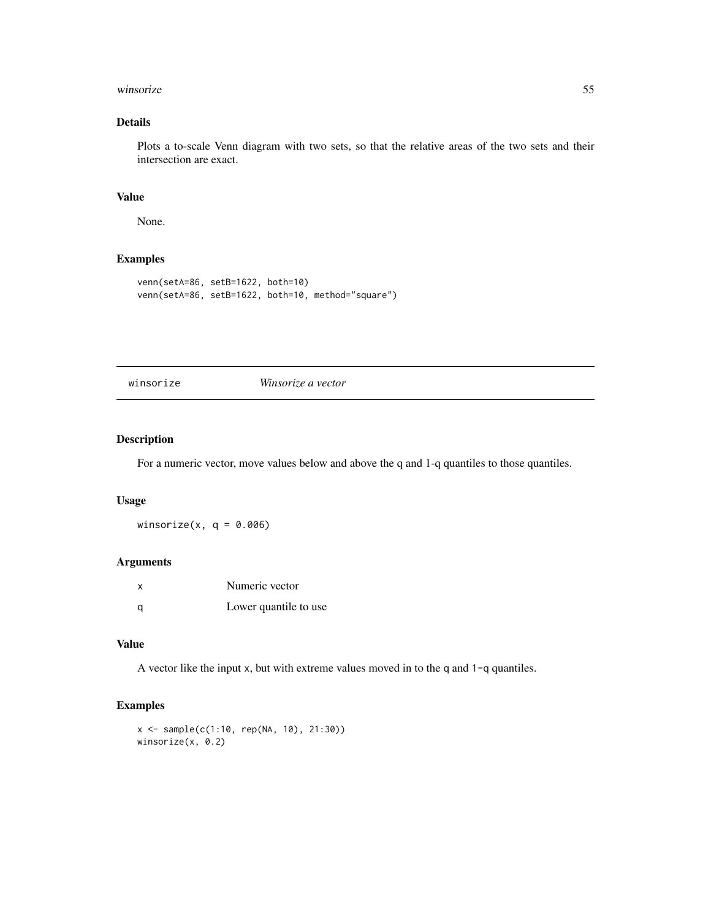#### <span id="page-54-0"></span>winsorize 55

# Details

Plots a to-scale Venn diagram with two sets, so that the relative areas of the two sets and their intersection are exact.

#### Value

None.

# Examples

```
venn(setA=86, setB=1622, both=10)
venn(setA=86, setB=1622, both=10, method="square")
```
winsorize *Winsorize a vector*

# Description

For a numeric vector, move values below and above the q and 1-q quantiles to those quantiles.

#### Usage

winsorize(x,  $q = 0.006$ )

# Arguments

| $\times$ | Numeric vector        |
|----------|-----------------------|
| a        | Lower quantile to use |

# Value

A vector like the input x, but with extreme values moved in to the q and 1-q quantiles.

```
x <- sample(c(1:10, rep(NA, 10), 21:30))
winsorize(x, 0.2)
```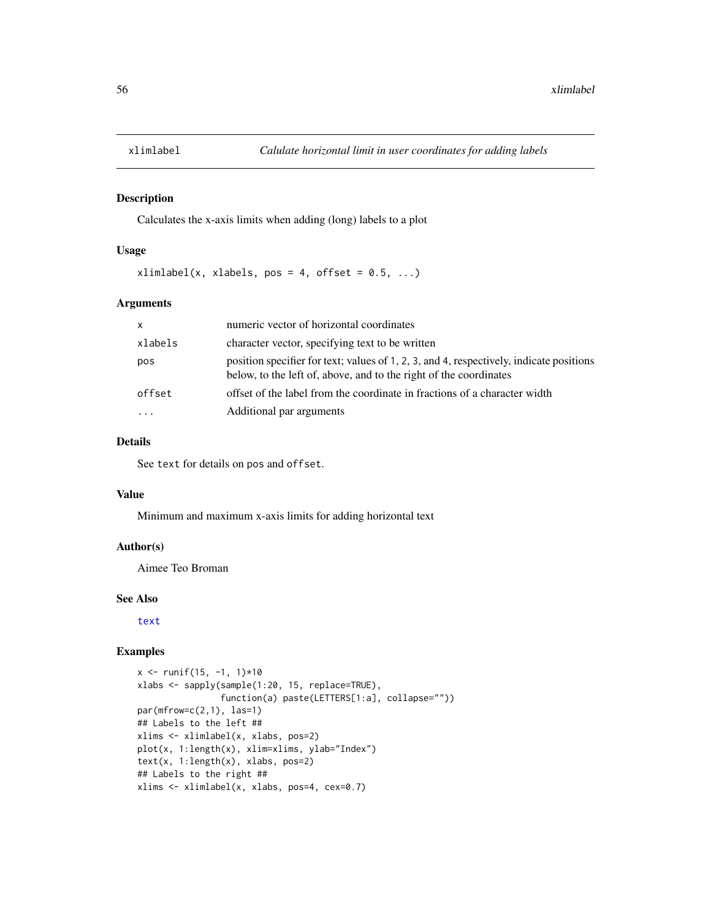<span id="page-55-0"></span>

Calculates the x-axis limits when adding (long) labels to a plot

### Usage

 $xlimlabel(x, xlabels, pos = 4, offset = 0.5, ...)$ 

#### Arguments

| $\mathsf{x}$ | numeric vector of horizontal coordinates                                                                                                                     |
|--------------|--------------------------------------------------------------------------------------------------------------------------------------------------------------|
| xlabels      | character vector, specifying text to be written                                                                                                              |
| pos          | position specifier for text; values of 1, 2, 3, and 4, respectively, indicate positions<br>below, to the left of, above, and to the right of the coordinates |
| offset       | offset of the label from the coordinate in fractions of a character width                                                                                    |
|              | Additional par arguments                                                                                                                                     |

# Details

See text for details on pos and offset.

#### Value

Minimum and maximum x-axis limits for adding horizontal text

# Author(s)

Aimee Teo Broman

## See Also

[text](#page-0-0)

```
x \le runif(15, -1, 1)*10
xlabs <- sapply(sample(1:20, 15, replace=TRUE),
                function(a) paste(LETTERS[1:a], collapse=""))
par(mfrow=c(2,1), 1as=1)## Labels to the left ##
xlims <- xlimlabel(x, xlabs, pos=2)
plot(x, 1:length(x), xlim=xlims, ylab="Index")
text(x, 1:length(x), xlabs, pos=2)
## Labels to the right ##
xlims <- xlimlabel(x, xlabs, pos=4, cex=0.7)
```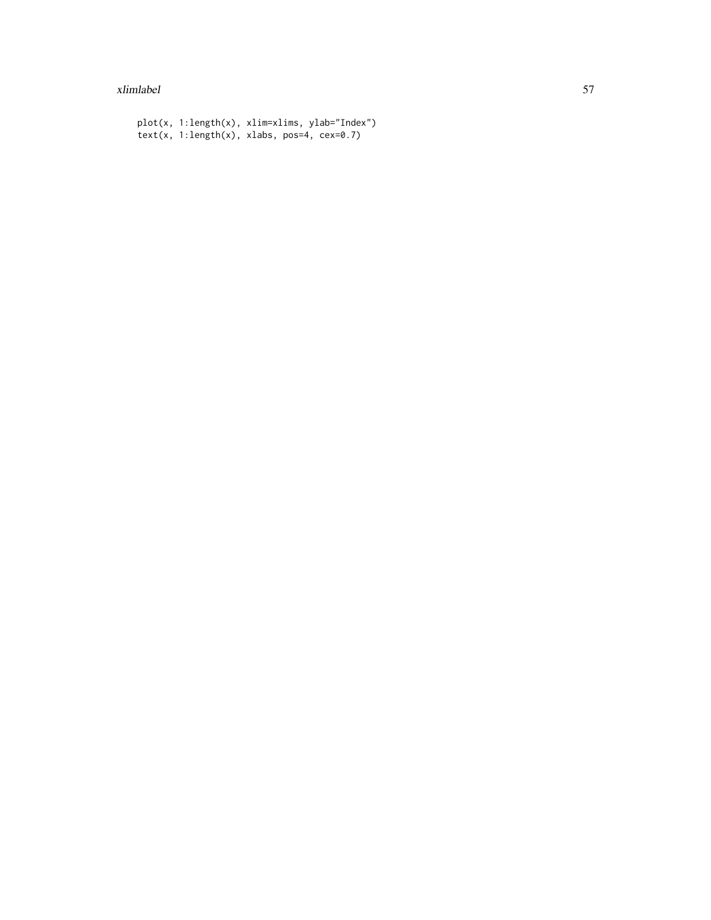#### xlimlabel 57

```
plot(x, 1:length(x), xlim=xlims, ylab="Index")
text(x, 1:length(x), xlabs, pos=4, cex=0.7)
```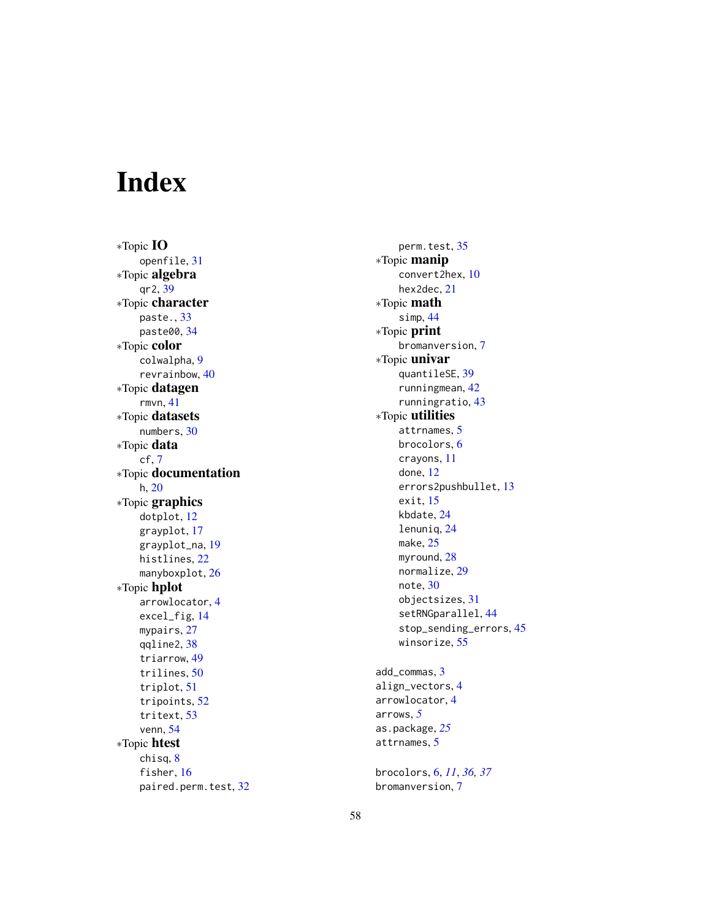# <span id="page-57-0"></span>Index

∗Topic IO openfile , [31](#page-30-0) ∗Topic algebra qr2 , [39](#page-38-0) ∗Topic character paste. , [33](#page-32-0) paste00 , [34](#page-33-0) ∗Topic color colwalpha , [9](#page-8-0) revrainbow , [40](#page-39-0) ∗Topic datagen rmvn , [41](#page-40-0) ∗Topic datasets numbers , [30](#page-29-0) ∗Topic data cf , [7](#page-6-0) ∗Topic documentation h, [20](#page-19-0) ∗Topic graphics dotplot , [12](#page-11-0) grayplot , [17](#page-16-0) grayplot\_na , [19](#page-18-0) histlines , [22](#page-21-0) manyboxplot, [26](#page-25-0) ∗Topic hplot arrowlocator , [4](#page-3-0) excel\_fig , [14](#page-13-0) mypairs, [27](#page-26-0) qqline2 , [38](#page-37-0) triarrow , [49](#page-48-0) trilines , [50](#page-49-0) triplot , [51](#page-50-0) tripoints , [52](#page-51-0) tritext , [53](#page-52-0) venn , [54](#page-53-0) ∗Topic htest chisq , [8](#page-7-0) fisher, [16](#page-15-0) paired.perm.test , [32](#page-31-0)

perm.test, [35](#page-34-0) ∗Topic manip convert2hex , [10](#page-9-0) hex2dec, [21](#page-20-0) ∗Topic math simp , [44](#page-43-0) ∗Topic print bromanversion , [7](#page-6-0) ∗Topic univar quantileSE , [39](#page-38-0) runningmean , [42](#page-41-0) runningratio , [43](#page-42-0) ∗Topic utilities attrnames, [5](#page-4-0) brocolors , [6](#page-5-0) crayons , [11](#page-10-0) done , [12](#page-11-0) errors2pushbullet , [13](#page-12-0) exit, [15](#page-14-0) kbdate , [24](#page-23-0) lenuniq , [24](#page-23-0) make, [25](#page-24-0) myround, [28](#page-27-0) normalize, [29](#page-28-0) note , [30](#page-29-0) objectsizes , [31](#page-30-0) setRNGparallel, [44](#page-43-0) stop\_sending\_errors , [45](#page-44-0) winsorize, [55](#page-54-0) add\_commas , [3](#page-2-0) align\_vectors , [4](#page-3-0) arrowlocator , [4](#page-3-0) arrows , *[5](#page-4-0)* as.package , *[25](#page-24-0)* attrnames , [5](#page-4-0)

brocolors , [6](#page-5-0) , *[11](#page-10-0)* , *[36,](#page-35-0) [37](#page-36-0)* bromanversion , [7](#page-6-0)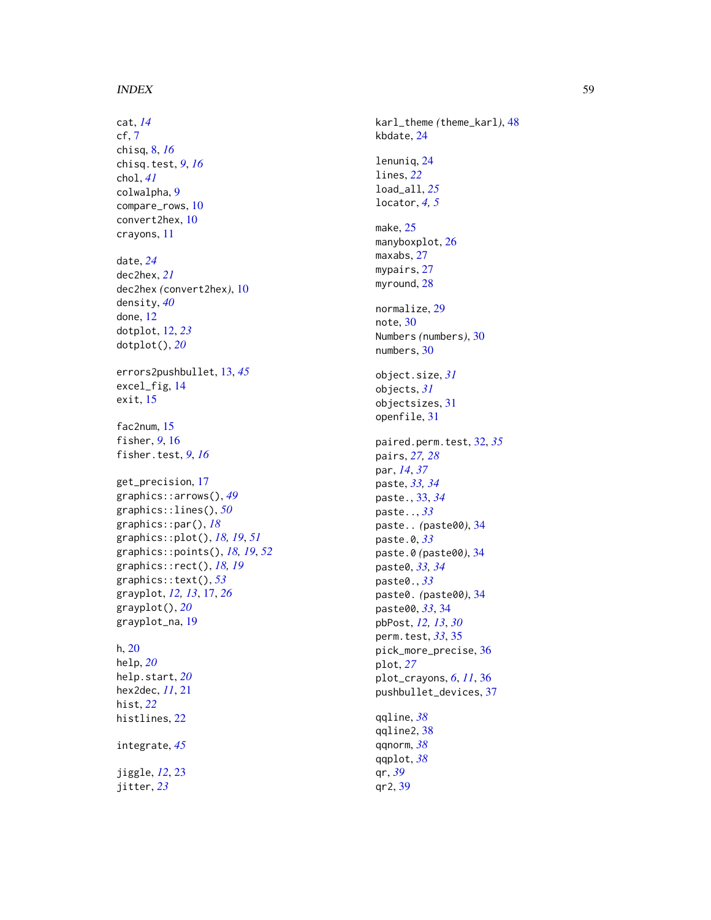#### INDEX 59

cat , *[14](#page-13-0)* cf , [7](#page-6-0) chisq , [8](#page-7-0) , *[16](#page-15-0)* chisq.test , *[9](#page-8-0)* , *[16](#page-15-0)* chol , *[41](#page-40-0)* colwalpha , [9](#page-8-0) compare\_rows , [10](#page-9-0) convert2hex , [10](#page-9-0) crayons , [11](#page-10-0) date , *[24](#page-23-0)* dec2hex , *[21](#page-20-0)* dec2hex *(*convert2hex *)* , [10](#page-9-0) density , *[40](#page-39-0)* done , [12](#page-11-0) dotplot , [12](#page-11-0) , *[23](#page-22-0)* dotplot() , *[20](#page-19-0)* errors2pushbullet , [13](#page-12-0) , *[45](#page-44-0)* excel\_fig , [14](#page-13-0) exit , [15](#page-14-0) fac2num , [15](#page-14-0) fisher, [9](#page-8-0), [16](#page-15-0) fisher.test , *[9](#page-8-0)* , *[16](#page-15-0)* get\_precision , [17](#page-16-0) graphics::arrows() , *[49](#page-48-0)* graphics::lines() , *[50](#page-49-0)* graphics::par() , *[18](#page-17-0)* graphics::plot() , *[18](#page-17-0) , [19](#page-18-0)* , *[51](#page-50-0)* graphics::points() , *[18](#page-17-0) , [19](#page-18-0)* , *[52](#page-51-0)* graphics::rect() , *[18](#page-17-0) , [19](#page-18-0)* graphics::text() , *[53](#page-52-0)* grayplot , *[12](#page-11-0) , [13](#page-12-0)* , [17](#page-16-0) , *[26](#page-25-0)* grayplot() , *[20](#page-19-0)* grayplot\_na , [19](#page-18-0) h , [20](#page-19-0) help , *[20](#page-19-0)* help.start , *[20](#page-19-0)* hex2dec , *[11](#page-10-0)* , [21](#page-20-0) hist , *[22](#page-21-0)* histlines , [22](#page-21-0) integrate , *[45](#page-44-0)* jiggle , *[12](#page-11-0)* , [23](#page-22-0)

jitter , *[23](#page-22-0)*

karl\_theme *(*theme\_karl *)* , [48](#page-47-0) kbdate , [24](#page-23-0) lenuniq , [24](#page-23-0) lines , *[22](#page-21-0)* load\_all , *[25](#page-24-0)* locator , *[4](#page-3-0) , [5](#page-4-0)* make , [25](#page-24-0) manyboxplot, [26](#page-25-0) maxabs , [27](#page-26-0) mypairs, [27](#page-26-0) myround, [28](#page-27-0) normalize , [29](#page-28-0) note , [30](#page-29-0) Numbers *(*numbers *)* , [30](#page-29-0) numbers , [30](#page-29-0) object.size , *[31](#page-30-0)* objects , *[31](#page-30-0)* objectsizes , [31](#page-30-0) openfile , [31](#page-30-0) paired.perm.test , [32](#page-31-0) , *[35](#page-34-0)* pairs , *[27,](#page-26-0) [28](#page-27-0)* par , *[14](#page-13-0)* , *[37](#page-36-0)* paste , *[33](#page-32-0) , [34](#page-33-0)* paste. , [33](#page-32-0) , *[34](#page-33-0)* paste.. , *[33](#page-32-0)* paste.. *(*paste00 *)* , [34](#page-33-0) paste.0 , *[33](#page-32-0)* paste.0 *(*paste00 *)* , [34](#page-33-0) paste0 , *[33](#page-32-0) , [34](#page-33-0)* paste0. , *[33](#page-32-0)* paste0. *(*paste00 *)* , [34](#page-33-0) paste00 , *[33](#page-32-0)* , [34](#page-33-0) pbPost , *[12](#page-11-0) , [13](#page-12-0)* , *[30](#page-29-0)* perm.test , *[33](#page-32-0)* , [35](#page-34-0) pick\_more\_precise , [36](#page-35-0) plot , *[27](#page-26-0)* plot\_crayons , *[6](#page-5-0)* , *[11](#page-10-0)* , [36](#page-35-0) pushbullet\_devices , [37](#page-36-0) qqline , *[38](#page-37-0)* qqline2 , [38](#page-37-0) qqnorm , *[38](#page-37-0)* qqplot , *[38](#page-37-0)* qr , *[39](#page-38-0)*

qr2 , [39](#page-38-0)